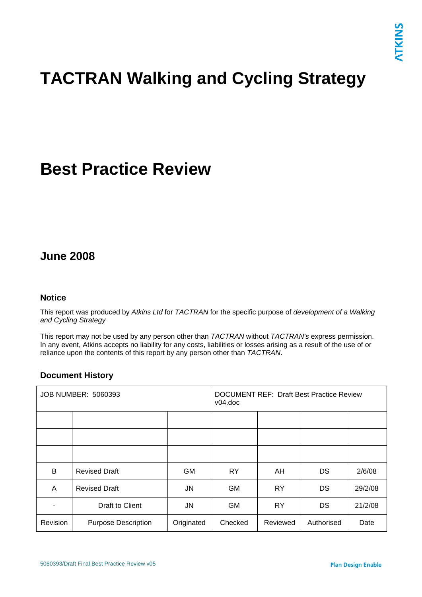# **TACTRAN Walking and Cycling Strategy**

## **Best Practice Review**

## **June 2008**

#### **Notice**

This report was produced by *Atkins Ltd* for *TACTRAN* for the specific purpose of *development of a Walking and Cycling Strategy*

This report may not be used by any person other than *TACTRAN* without *TACTRAN's* express permission. In any event, Atkins accepts no liability for any costs, liabilities or losses arising as a result of the use of or reliance upon the contents of this report by any person other than *TACTRAN*.

#### **Document History**

| <b>JOB NUMBER: 5060393</b> |                            |            | <b>DOCUMENT REF: Draft Best Practice Review</b><br>$v04$ .doc |           |            |         |
|----------------------------|----------------------------|------------|---------------------------------------------------------------|-----------|------------|---------|
|                            |                            |            |                                                               |           |            |         |
|                            |                            |            |                                                               |           |            |         |
|                            |                            |            |                                                               |           |            |         |
| B                          | <b>Revised Draft</b>       | <b>GM</b>  | <b>RY</b>                                                     | AH        | DS         | 2/6/08  |
| A                          | <b>Revised Draft</b>       | JN         | <b>GM</b>                                                     | <b>RY</b> | DS         | 29/2/08 |
|                            | Draft to Client            | JN         | <b>GM</b>                                                     | <b>RY</b> | <b>DS</b>  | 21/2/08 |
| Revision                   | <b>Purpose Description</b> | Originated | Checked                                                       | Reviewed  | Authorised | Date    |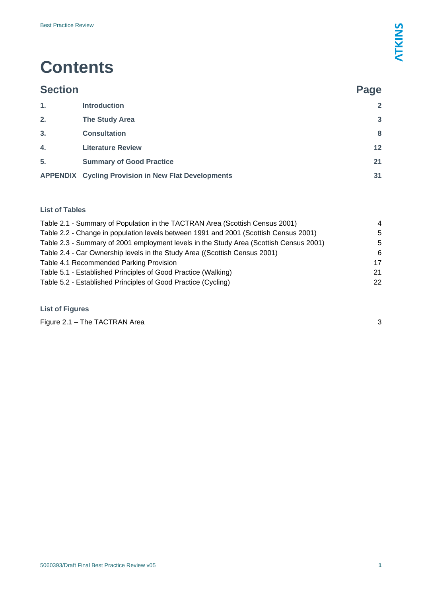## **Contents**

| <b>Section</b> |                                                            | Page            |
|----------------|------------------------------------------------------------|-----------------|
| 1.             | <b>Introduction</b>                                        | $\overline{2}$  |
| 2.             | <b>The Study Area</b>                                      | $\mathbf{3}$    |
| 3.             | <b>Consultation</b>                                        | 8               |
| 4.             | <b>Literature Review</b>                                   | 12 <sup>2</sup> |
| 5.             | <b>Summary of Good Practice</b>                            | 21              |
|                | <b>APPENDIX Cycling Provision in New Flat Developments</b> | 31              |

#### **List of Tables**

| Table 2.1 - Summary of Population in the TACTRAN Area (Scottish Census 2001)           | 4  |
|----------------------------------------------------------------------------------------|----|
| Table 2.2 - Change in population levels between 1991 and 2001 (Scottish Census 2001)   | 5  |
| Table 2.3 - Summary of 2001 employment levels in the Study Area (Scottish Census 2001) | 5  |
| Table 2.4 - Car Ownership levels in the Study Area ((Scottish Census 2001)             | -6 |
| Table 4.1 Recommended Parking Provision                                                | 17 |
| Table 5.1 - Established Principles of Good Practice (Walking)                          | 21 |
| Table 5.2 - Established Principles of Good Practice (Cycling)                          | 22 |
|                                                                                        |    |

#### **List of Figures**

Figure 2.1 – The TACTRAN Area [3](#page-3-1)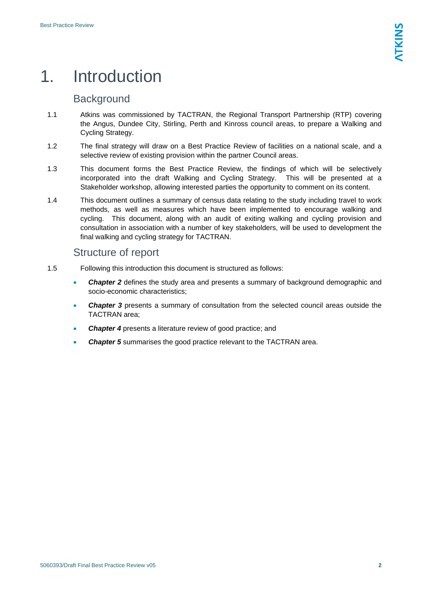## <span id="page-2-0"></span>1. Introduction

## **Background**

- 1.1 Atkins was commissioned by TACTRAN, the Regional Transport Partnership (RTP) covering the Angus, Dundee City, Stirling, Perth and Kinross council areas, to prepare a Walking and Cycling Strategy.
- 1.2 The final strategy will draw on a Best Practice Review of facilities on a national scale, and a selective review of existing provision within the partner Council areas.
- 1.3 This document forms the Best Practice Review, the findings of which will be selectively incorporated into the draft Walking and Cycling Strategy. This will be presented at a Stakeholder workshop, allowing interested parties the opportunity to comment on its content.
- 1.4 This document outlines a summary of census data relating to the study including travel to work methods, as well as measures which have been implemented to encourage walking and cycling. This document, along with an audit of exiting walking and cycling provision and consultation in association with a number of key stakeholders, will be used to development the final walking and cycling strategy for TACTRAN.

## Structure of report

- 1.5 Following this introduction this document is structured as follows:
	- **Chapter 2** defines the study area and presents a summary of background demographic and socio-economic characteristics;
	- *Chapter 3* presents a summary of consultation from the selected council areas outside the TACTRAN area;
	- *Chapter 4* presents a literature review of good practice; and
	- **Chapter 5** summarises the good practice relevant to the TACTRAN area.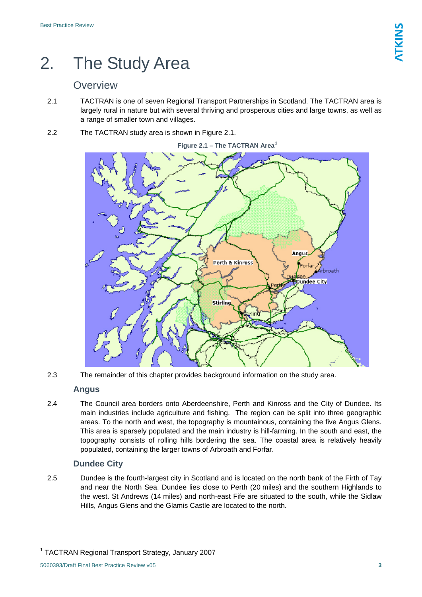## <span id="page-3-0"></span>2. The Study Area

## **Overview**

- 2.1 TACTRAN is one of seven Regional Transport Partnerships in Scotland. The TACTRAN area is largely rural in nature but with several thriving and prosperous cities and large towns, as well as a range of smaller town and villages.
- <span id="page-3-1"></span>2.2 The TACTRAN study area is shown in Figure 2.1.



2.3 The remainder of this chapter provides background information on the study area.

### **Angus**

2.4 The Council area borders onto Aberdeenshire, Perth and Kinross and the City of Dundee. Its main industries include agriculture and fishing. The region can be split into three geographic areas. To the north and west, the topography is mountainous, containing the five Angus Glens. This area is sparsely populated and the main industry is hill-farming. In the south and east, the topography consists of rolling hills bordering the sea. The coastal area is relatively heavily populated, containing the larger towns of Arbroath and Forfar.

### **Dundee City**

2.5 Dundee is the fourth-largest city in Scotland and is located on the north bank of the Firth of Tay and near the North Sea. Dundee lies close to Perth (20 miles) and the southern Highlands to the west. St Andrews (14 miles) and north-east Fife are situated to the south, while the Sidlaw Hills, Angus Glens and the Glamis Castle are located to the north.

<span id="page-3-2"></span><sup>1</sup> TACTRAN Regional Transport Strategy, January 2007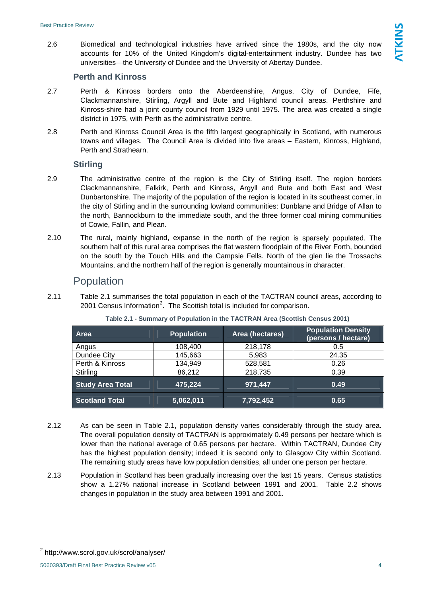2.6 Biomedical and technological industries have arrived since the 1980s, and the city now accounts for 10% of the United Kingdom's digital-entertainment industry. Dundee has two universities—the University of Dundee and the University of Abertay Dundee.

#### **Perth and Kinross**

- 2.7 Perth & Kinross borders onto the Aberdeenshire, Angus, City of Dundee, Fife, Clackmannanshire, Stirling, Argyll and Bute and Highland council areas. Perthshire and Kinross-shire had a joint county council from 1929 until 1975. The area was created a single district in 1975, with Perth as the administrative centre.
- 2.8 Perth and Kinross Council Area is the fifth largest geographically in Scotland, with numerous towns and villages. The Council Area is divided into five areas – Eastern, Kinross, Highland, Perth and Strathearn.

#### **Stirling**

- 2.9 The administrative centre of the region is the City of Stirling itself. The region borders Clackmannanshire, Falkirk, Perth and Kinross, Argyll and Bute and both East and West Dunbartonshire. The majority of the population of the region is located in its southeast corner, in the city of Stirling and in the surrounding lowland communities: Dunblane and Bridge of Allan to the north, Bannockburn to the immediate south, and the three former coal mining communities of Cowie, Fallin, and Plean.
- 2.10 The rural, mainly highland, expanse in the north of the region is sparsely populated. The southern half of this rural area comprises the flat western floodplain of the River Forth, bounded on the south by the Touch Hills and the Campsie Fells. North of the glen lie the Trossachs Mountains, and the northern half of the region is generally mountainous in character.

#### Population

<span id="page-4-0"></span>2.11 Table 2.1 summarises the total population in each of the TACTRAN council areas, according to [2](#page-4-1)001 Census Information<sup>2</sup>. The Scottish total is included for comparison.

| <b>Area</b>             | <b>Population</b> | Area (hectares) | <b>Population Density</b><br>(persons / hectare) |  |
|-------------------------|-------------------|-----------------|--------------------------------------------------|--|
| Angus                   | 108,400           | 218,178         | 0.5                                              |  |
| Dundee City             | 145,663           | 5,983           | 24.35                                            |  |
| Perth & Kinross         | 134,949           | 528,581         | 0.26                                             |  |
| Stirling                | 86,212            | 218,735         | 0.39                                             |  |
| <b>Study Area Total</b> | 475,224           | 971,447         | 0.49                                             |  |
| <b>Scotland Total</b>   | 5,062,011         | 7,792,452       | 0.65                                             |  |

#### **Table 2.1 - Summary of Population in the TACTRAN Area (Scottish Census 2001)**

- 2.12 As can be seen in Table 2.1, population density varies considerably through the study area. The overall population density of TACTRAN is approximately 0.49 persons per hectare which is lower than the national average of 0.65 persons per hectare. Within TACTRAN, Dundee City has the highest population density; indeed it is second only to Glasgow City within Scotland. The remaining study areas have low population densities, all under one person per hectare.
- 2.13 Population in Scotland has been gradually increasing over the last 15 years. Census statistics show a 1.27% national increase in Scotland between 1991 and 2001. Table 2.2 shows changes in population in the study area between 1991 and 2001.

<span id="page-4-1"></span><sup>&</sup>lt;sup>2</sup> http://www.scrol.gov.uk/scrol/analyser/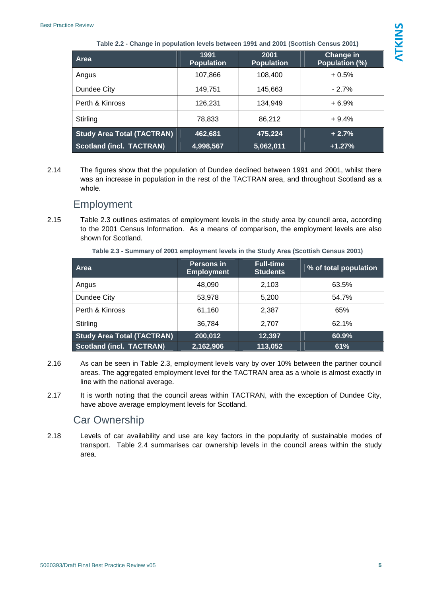<span id="page-5-0"></span>

| Area                              | 1991<br><b>Population</b> | 2001<br><b>Population</b> | Change in<br>Population (%) |
|-----------------------------------|---------------------------|---------------------------|-----------------------------|
| Angus                             | 107,866                   | 108,400                   | $+0.5%$                     |
| Dundee City                       | 149,751                   | 145,663                   | $-2.7%$                     |
| Perth & Kinross                   | 126,231                   | 134.949                   | $+6.9%$                     |
| Stirling                          | 78,833                    | 86.212                    | $+9.4%$                     |
| <b>Study Area Total (TACTRAN)</b> | 462,681                   | 475,224                   | $+2.7%$                     |
| <b>Scotland (incl. TACTRAN)</b>   | 4,998,567                 | 5,062,011                 | $+1.27%$                    |

2.14 The figures show that the population of Dundee declined between 1991 and 2001, whilst there was an increase in population in the rest of the TACTRAN area, and throughout Scotland as a whole.

#### **Employment**

<span id="page-5-1"></span>2.15 Table 2.3 outlines estimates of employment levels in the study area by council area, according to the 2001 Census Information. As a means of comparison, the employment levels are also shown for Scotland.

|  | Table 2.3 - Summary of 2001 employment levels in the Study Area (Scottish Census 2001) |  |
|--|----------------------------------------------------------------------------------------|--|
|--|----------------------------------------------------------------------------------------|--|

| Area                              | Persons in<br><b>Employment</b> | <b>Full-time</b><br><b>Students</b> | % of total population |
|-----------------------------------|---------------------------------|-------------------------------------|-----------------------|
| Angus                             | 48.090                          | 2.103                               | 63.5%                 |
| Dundee City                       | 53,978                          | 5,200                               | 54.7%                 |
| Perth & Kinross                   | 61,160                          | 2.387                               | 65%                   |
| Stirling                          | 36,784                          | 2.707                               | 62.1%                 |
| <b>Study Area Total (TACTRAN)</b> | 200,012                         | 12,397                              | 60.9%                 |
| <b>Scotland (incl. TACTRAN)</b>   | 2,162,906                       | 113,052                             | 61%                   |

- 2.16 As can be seen in Table 2.3, employment levels vary by over 10% between the partner council areas. The aggregated employment level for the TACTRAN area as a whole is almost exactly in line with the national average.
- 2.17 It is worth noting that the council areas within TACTRAN, with the exception of Dundee City, have above average employment levels for Scotland.

### Car Ownership

2.18 Levels of car availability and use are key factors in the popularity of sustainable modes of transport. Table 2.4 summarises car ownership levels in the council areas within the study area.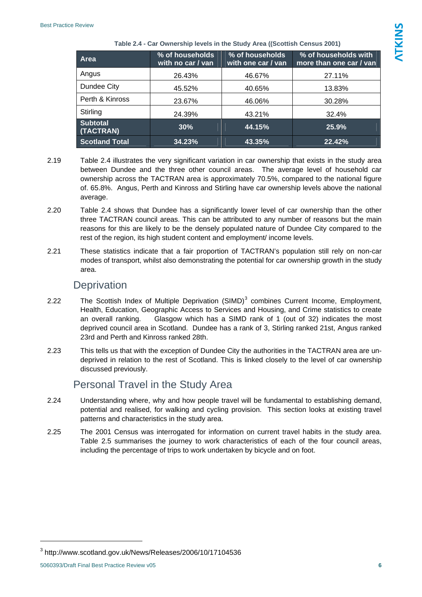<span id="page-6-0"></span>

| Area                         | % of households<br>with no car / van | % of households<br>with one car / van | % of households with<br>more than one car / van |  |  |  |  |
|------------------------------|--------------------------------------|---------------------------------------|-------------------------------------------------|--|--|--|--|
| Angus                        | 26.43%                               | 46.67%                                | 27.11%                                          |  |  |  |  |
| Dundee City                  | 45.52%                               | 40.65%                                | 13.83%                                          |  |  |  |  |
| Perth & Kinross              | 23.67%                               | 46.06%                                | 30.28%                                          |  |  |  |  |
| Stirling                     | 24.39%                               | 43.21%                                | 32.4%                                           |  |  |  |  |
| <b>Subtotal</b><br>(TACTRAN) | 30%                                  | 44.15%                                | 25.9%                                           |  |  |  |  |
| <b>Scotland Total</b>        | 34.23%                               | 43.35%                                | 22.42%                                          |  |  |  |  |

#### **Table 2.4 - Car Ownership levels in the Study Area ((Scottish Census 2001)**

- 2.19 Table 2.4 illustrates the very significant variation in car ownership that exists in the study area between Dundee and the three other council areas. The average level of household car ownership across the TACTRAN area is approximately 70.5%, compared to the national figure of. 65.8%. Angus, Perth and Kinross and Stirling have car ownership levels above the national average.
- 2.20 Table 2.4 shows that Dundee has a significantly lower level of car ownership than the other three TACTRAN council areas. This can be attributed to any number of reasons but the main reasons for this are likely to be the densely populated nature of Dundee City compared to the rest of the region, its high student content and employment/ income levels.
- 2.21 These statistics indicate that a fair proportion of TACTRAN's population still rely on non-car modes of transport, whilst also demonstrating the potential for car ownership growth in the study area.

### **Deprivation**

- 2.22 The Scottish Index of Multiple Deprivation (SIMD)<sup>[3](#page-6-1)</sup> combines Current Income, Employment, Health, Education, Geographic Access to Services and Housing, and Crime statistics to create an overall ranking. Glasgow which has a SIMD rank of 1 (out of 32) indicates the most deprived council area in Scotland. Dundee has a rank of 3, Stirling ranked 21st, Angus ranked 23rd and Perth and Kinross ranked 28th.
- 2.23 This tells us that with the exception of Dundee City the authorities in the TACTRAN area are undeprived in relation to the rest of Scotland. This is linked closely to the level of car ownership discussed previously.

## Personal Travel in the Study Area

- 2.24 Understanding where, why and how people travel will be fundamental to establishing demand, potential and realised, for walking and cycling provision. This section looks at existing travel patterns and characteristics in the study area.
- 2.25 The 2001 Census was interrogated for information on current travel habits in the study area. Table 2.5 summarises the journey to work characteristics of each of the four council areas, including the percentage of trips to work undertaken by bicycle and on foot.

<span id="page-6-1"></span> $^3$  http://www.scotland.gov.uk/News/Releases/2006/10/17104536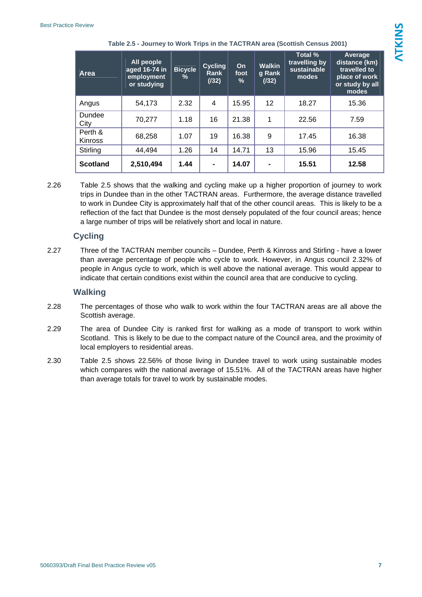| Area                      | All people<br>aged 16-74 in<br>employment<br>or studying | <b>Bicycle</b><br>% | <b>Cycling</b><br>Rank<br>(132) | On<br>foot<br>% | <b>Walkin</b><br>g Rank<br>(132) | Total %<br>travelling by<br>sustainable<br>modes | Average<br>distance (km)<br>travelled to<br>place of work<br>or study by all<br>modes |
|---------------------------|----------------------------------------------------------|---------------------|---------------------------------|-----------------|----------------------------------|--------------------------------------------------|---------------------------------------------------------------------------------------|
| Angus                     | 54,173                                                   | 2.32                | 4                               | 15.95           | 12 <sup>2</sup>                  | 18.27                                            | 15.36                                                                                 |
| Dundee<br>City            | 70,277                                                   | 1.18                | 16                              | 21.38           | 1                                | 22.56                                            | 7.59                                                                                  |
| Perth &<br><b>Kinross</b> | 68,258                                                   | 1.07                | 19                              | 16.38           | 9                                | 17.45                                            | 16.38                                                                                 |
| Stirling                  | 44,494                                                   | 1.26                | 14                              | 14.71           | 13                               | 15.96                                            | 15.45                                                                                 |
| <b>Scotland</b>           | 2,510,494                                                | 1.44                | $\blacksquare$                  | 14.07           |                                  | 15.51                                            | 12.58                                                                                 |

**Table 2.5 - Journey to Work Trips in the TACTRAN area (Scottish Census 2001)** 

2.26 Table 2.5 shows that the walking and cycling make up a higher proportion of journey to work trips in Dundee than in the other TACTRAN areas. Furthermore, the average distance travelled to work in Dundee City is approximately half that of the other council areas. This is likely to be a reflection of the fact that Dundee is the most densely populated of the four council areas; hence a large number of trips will be relatively short and local in nature.

#### **Cycling**

2.27 Three of the TACTRAN member councils – Dundee, Perth & Kinross and Stirling - have a lower than average percentage of people who cycle to work. However, in Angus council 2.32% of people in Angus cycle to work, which is well above the national average. This would appear to indicate that certain conditions exist within the council area that are conducive to cycling.

#### **Walking**

- 2.28 The percentages of those who walk to work within the four TACTRAN areas are all above the Scottish average.
- 2.29 The area of Dundee City is ranked first for walking as a mode of transport to work within Scotland. This is likely to be due to the compact nature of the Council area, and the proximity of local employers to residential areas.
- 2.30 Table 2.5 shows 22.56% of those living in Dundee travel to work using sustainable modes which compares with the national average of 15.51%. All of the TACTRAN areas have higher than average totals for travel to work by sustainable modes.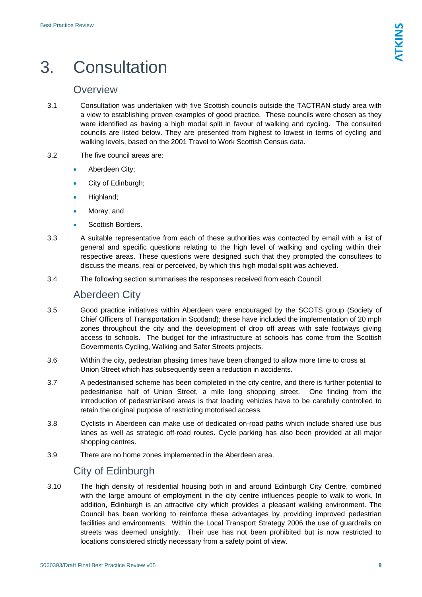## <span id="page-8-0"></span>3. Consultation

## **Overview**

- 3.1 Consultation was undertaken with five Scottish councils outside the TACTRAN study area with a view to establishing proven examples of good practice. These councils were chosen as they were identified as having a high modal split in favour of walking and cycling. The consulted councils are listed below. They are presented from highest to lowest in terms of cycling and walking levels, based on the 2001 Travel to Work Scottish Census data.
- 3.2 The five council areas are:
	- Aberdeen City:
	- City of Edinburgh;
	- Highland:
	- Moray; and
	- Scottish Borders.
- 3.3 A suitable representative from each of these authorities was contacted by email with a list of general and specific questions relating to the high level of walking and cycling within their respective areas. These questions were designed such that they prompted the consultees to discuss the means, real or perceived, by which this high modal split was achieved.
- 3.4 The following section summarises the responses received from each Council.

## Aberdeen City

- 3.5 Good practice initiatives within Aberdeen were encouraged by the SCOTS group (Society of Chief Officers of Transportation in Scotland); these have included the implementation of 20 mph zones throughout the city and the development of drop off areas with safe footways giving access to schools. The budget for the infrastructure at schools has come from the Scottish Governments Cycling, Walking and Safer Streets projects.
- 3.6 Within the city, pedestrian phasing times have been changed to allow more time to cross at Union Street which has subsequently seen a reduction in accidents.
- 3.7 A pedestrianised scheme has been completed in the city centre, and there is further potential to pedestrianise half of Union Street, a mile long shopping street. One finding from the introduction of pedestrianised areas is that loading vehicles have to be carefully controlled to retain the original purpose of restricting motorised access.
- 3.8 Cyclists in Aberdeen can make use of dedicated on-road paths which include shared use bus lanes as well as strategic off-road routes. Cycle parking has also been provided at all major shopping centres.
- 3.9 There are no home zones implemented in the Aberdeen area.

## City of Edinburgh

3.10 The high density of residential housing both in and around Edinburgh City Centre, combined with the large amount of employment in the city centre influences people to walk to work. In addition, Edinburgh is an attractive city which provides a pleasant walking environment. The Council has been working to reinforce these advantages by providing improved pedestrian facilities and environments. Within the Local Transport Strategy 2006 the use of guardrails on streets was deemed unsightly. Their use has not been prohibited but is now restricted to locations considered strictly necessary from a safety point of view.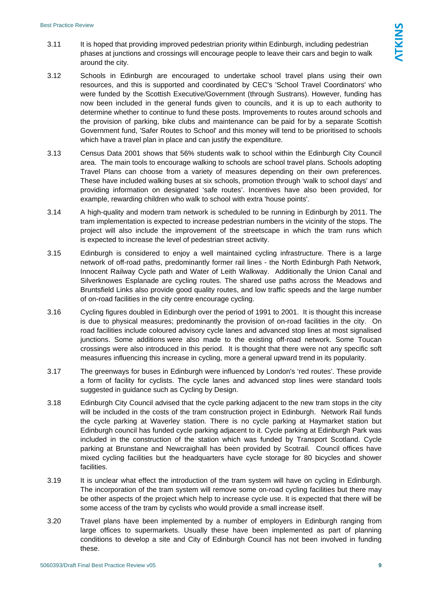- 3.11 It is hoped that providing improved pedestrian priority within Edinburgh, including pedestrian phases at junctions and crossings will encourage people to leave their cars and begin to walk around the city.
- 3.12 Schools in Edinburgh are encouraged to undertake school travel plans using their own resources, and this is supported and coordinated by CEC's 'School Travel Coordinators' who were funded by the Scottish Executive/Government (through Sustrans). However, funding has now been included in the general funds given to councils, and it is up to each authority to determine whether to continue to fund these posts. Improvements to routes around schools and the provision of parking, bike clubs and maintenance can be paid for by a separate Scottish Government fund, 'Safer Routes to School' and this money will tend to be prioritised to schools which have a travel plan in place and can justify the expenditure.
- 3.13 Census Data 2001 shows that 56% students walk to school within the Edinburgh City Council area. The main tools to encourage walking to schools are school travel plans. Schools adopting Travel Plans can choose from a variety of measures depending on their own preferences. These have included walking buses at six schools, promotion through 'walk to school days' and providing information on designated 'safe routes'. Incentives have also been provided, for example, rewarding children who walk to school with extra 'house points'.
- 3.14 A high-quality and modern tram network is scheduled to be running in Edinburgh by 2011. The tram implementation is expected to increase pedestrian numbers in the vicinity of the stops. The project will also include the improvement of the streetscape in which the tram runs which is expected to increase the level of pedestrian street activity.
- 3.15 Edinburgh is considered to enjoy a well maintained cycling infrastructure. There is a large network of off-road paths, predominantly former rail lines - the North Edinburgh Path Network, Innocent Railway Cycle path and Water of Leith Walkway. Additionally the Union Canal and Silverknowes Esplanade are cycling routes. The shared use paths across the Meadows and Bruntsfield Links also provide good quality routes, and low traffic speeds and the large number of on-road facilities in the city centre encourage cycling.
- 3.16 Cycling figures doubled in Edinburgh over the period of 1991 to 2001. It is thought this increase is due to physical measures; predominantly the provision of on-road facilities in the city. On road facilities include coloured advisory cycle lanes and advanced stop lines at most signalised junctions. Some additions were also made to the existing off-road network. Some Toucan crossings were also introduced in this period. It is thought that there were not any specific soft measures influencing this increase in cycling, more a general upward trend in its popularity.
- 3.17 The greenways for buses in Edinburgh were influenced by London's 'red routes'. These provide a form of facility for cyclists. The cycle lanes and advanced stop lines were standard tools suggested in guidance such as Cycling by Design.
- 3.18 Edinburgh City Council advised that the cycle parking adjacent to the new tram stops in the city will be included in the costs of the tram construction project in Edinburgh. Network Rail funds the cycle parking at Waverley station. There is no cycle parking at Haymarket station but Edinburgh council has funded cycle parking adjacent to it. Cycle parking at Edinburgh Park was included in the construction of the station which was funded by Transport Scotland. Cycle parking at Brunstane and Newcraighall has been provided by Scotrail. Council offices have mixed cycling facilities but the headquarters have cycle storage for 80 bicycles and shower facilities.
- 3.19 It is unclear what effect the introduction of the tram system will have on cycling in Edinburgh. The incorporation of the tram system will remove some on-road cycling facilities but there may be other aspects of the project which help to increase cycle use. It is expected that there will be some access of the tram by cyclists who would provide a small increase itself.
- 3.20 Travel plans have been implemented by a number of employers in Edinburgh ranging from large offices to supermarkets. Usually these have been implemented as part of planning conditions to develop a site and City of Edinburgh Council has not been involved in funding these.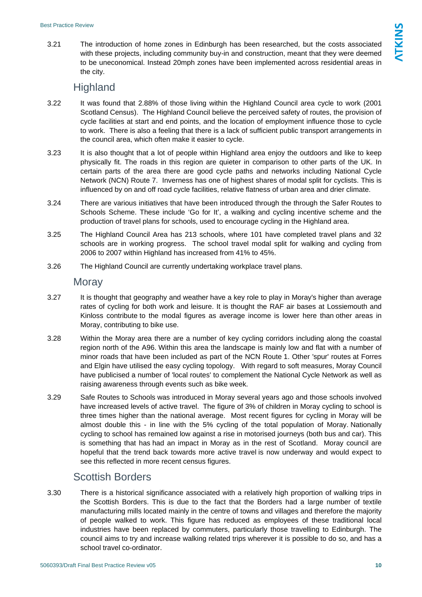3.21 The introduction of home zones in Edinburgh has been researched, but the costs associated with these projects, including community buy-in and construction, meant that they were deemed to be uneconomical. Instead 20mph zones have been implemented across residential areas in the city.

- 3.22 It was found that 2.88% of those living within the Highland Council area cycle to work (2001 Scotland Census). The Highland Council believe the perceived safety of routes, the provision of cycle facilities at start and end points, and the location of employment influence those to cycle to work. There is also a feeling that there is a lack of sufficient public transport arrangements in the council area, which often make it easier to cycle.
- 3.23 It is also thought that a lot of people within Highland area enjoy the outdoors and like to keep physically fit. The roads in this region are quieter in comparison to other parts of the UK. In certain parts of the area there are good cycle paths and networks including National Cycle Network (NCN) Route 7. Inverness has one of highest shares of modal split for cyclists. This is influenced by on and off road cycle facilities, relative flatness of urban area and drier climate.
- 3.24 There are various initiatives that have been introduced through the through the Safer Routes to Schools Scheme. These include 'Go for It', a walking and cycling incentive scheme and the production of travel plans for schools, used to encourage cycling in the Highland area.
- 3.25 The Highland Council Area has 213 schools, where 101 have completed travel plans and 32 schools are in working progress. The school travel modal split for walking and cycling from 2006 to 2007 within Highland has increased from 41% to 45%.
- 3.26 The Highland Council are currently undertaking workplace travel plans.

#### **Moray**

- 3.27 It is thought that geography and weather have a key role to play in Moray's higher than average rates of cycling for both work and leisure. It is thought the RAF air bases at Lossiemouth and Kinloss contribute to the modal figures as average income is lower here than other areas in Moray, contributing to bike use.
- 3.28 Within the Moray area there are a number of key cycling corridors including along the coastal region north of the A96. Within this area the landscape is mainly low and flat with a number of minor roads that have been included as part of the NCN Route 1. Other 'spur' routes at Forres and Elgin have utilised the easy cycling topology. With regard to soft measures, Moray Council have publicised a number of 'local routes' to complement the National Cycle Network as well as raising awareness through events such as bike week.
- 3.29 Safe Routes to Schools was introduced in Moray several years ago and those schools involved have increased levels of active travel. The figure of 3% of children in Moray cycling to school is three times higher than the national average. Most recent figures for cycling in Moray will be almost double this - in line with the 5% cycling of the total population of Moray. Nationally cycling to school has remained low against a rise in motorised journeys (both bus and car). This is something that has had an impact in Moray as in the rest of Scotland. Moray council are hopeful that the trend back towards more active travel is now underway and would expect to see this reflected in more recent census figures.

## Scottish Borders

3.30 There is a historical significance associated with a relatively high proportion of walking trips in the Scottish Borders. This is due to the fact that the Borders had a large number of textile manufacturing mills located mainly in the centre of towns and villages and therefore the majority of people walked to work. This figure has reduced as employees of these traditional local industries have been replaced by commuters, particularly those travelling to Edinburgh. The council aims to try and increase walking related trips wherever it is possible to do so, and has a school travel co-ordinator.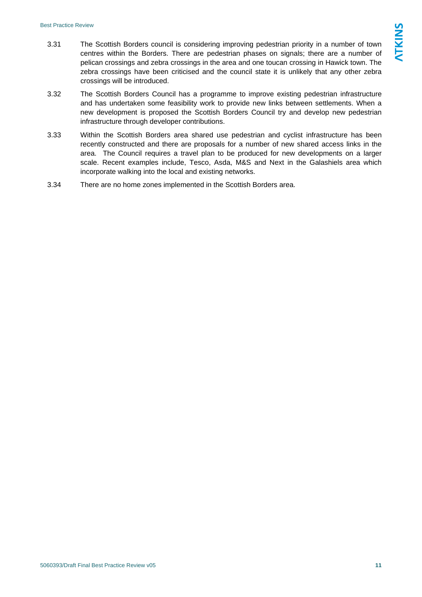- 3.31 The Scottish Borders council is considering improving pedestrian priority in a number of town centres within the Borders. There are pedestrian phases on signals; there are a number of pelican crossings and zebra crossings in the area and one toucan crossing in Hawick town. The zebra crossings have been criticised and the council state it is unlikely that any other zebra crossings will be introduced.
- 3.32 The Scottish Borders Council has a programme to improve existing pedestrian infrastructure and has undertaken some feasibility work to provide new links between settlements. When a new development is proposed the Scottish Borders Council try and develop new pedestrian infrastructure through developer contributions.
- 3.33 Within the Scottish Borders area shared use pedestrian and cyclist infrastructure has been recently constructed and there are proposals for a number of new shared access links in the area. The Council requires a travel plan to be produced for new developments on a larger scale. Recent examples include, Tesco, Asda, M&S and Next in the Galashiels area which incorporate walking into the local and existing networks.
- 3.34 There are no home zones implemented in the Scottish Borders area.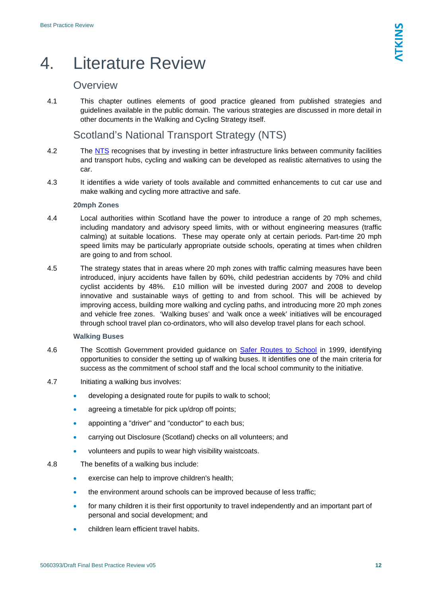## <span id="page-12-0"></span>4. Literature Review

## **Overview**

4.1 This chapter outlines elements of good practice gleaned from published strategies and guidelines available in the public domain. The various strategies are discussed in more detail in other documents in the Walking and Cycling Strategy itself.

## Scotland's National Transport Strategy (NTS)

- 4.2 The [NTS](http://www.scotland.gov.uk/Publications/2006/04/20084756/0) recognises that by investing in better infrastructure links between community facilities and transport hubs, cycling and walking can be developed as realistic alternatives to using the car.
- 4.3 It identifies a wide variety of tools available and committed enhancements to cut car use and make walking and cycling more attractive and safe.

#### **20mph Zones**

- 4.4 Local authorities within Scotland have the power to introduce a range of 20 mph schemes, including mandatory and advisory speed limits, with or without engineering measures (traffic calming) at suitable locations. These may operate only at certain periods. Part-time 20 mph speed limits may be particularly appropriate outside schools, operating at times when children are going to and from school.
- 4.5 The strategy states that in areas where 20 mph zones with traffic calming measures have been introduced, injury accidents have fallen by 60%, child pedestrian accidents by 70% and child cyclist accidents by 48%. £10 million will be invested during 2007 and 2008 to develop innovative and sustainable ways of getting to and from school. This will be achieved by improving access, building more walking and cycling paths, and introducing more 20 mph zones and vehicle free zones. 'Walking buses' and 'walk once a week' initiatives will be encouraged through school travel plan co-ordinators, who will also develop travel plans for each school.

#### **Walking Buses**

- 4.6 The Scottish Government provided guidance on [Safer Routes to School](http://www.saferoutestoschools.org.uk/) in 1999, identifying opportunities to consider the setting up of walking buses. It identifies one of the main criteria for success as the commitment of school staff and the local school community to the initiative.
- 4.7 Initiating a walking bus involves:
	- developing a designated route for pupils to walk to school;
	- agreeing a timetable for pick up/drop off points;
	- appointing a "driver" and "conductor" to each bus;
	- carrying out Disclosure (Scotland) checks on all volunteers; and
	- volunteers and pupils to wear high visibility waistcoats.
- 4.8 The benefits of a walking bus include:
	- exercise can help to improve children's health;
	- the environment around schools can be improved because of less traffic;
	- for many children it is their first opportunity to travel independently and an important part of personal and social development; and
	- children learn efficient travel habits.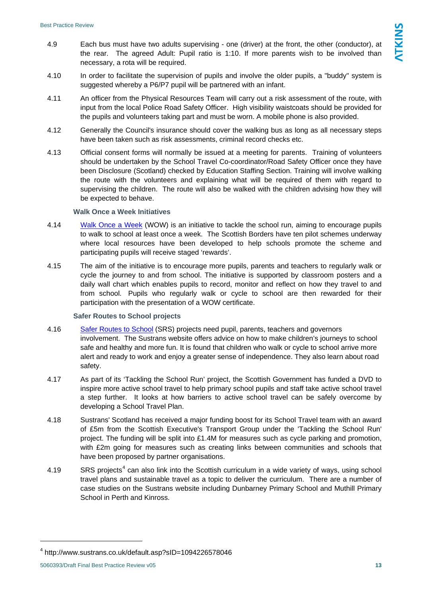- 4.9 Each bus must have two adults supervising one (driver) at the front, the other (conductor), at the rear. The agreed Adult: Pupil ratio is 1:10. If more parents wish to be involved than necessary, a rota will be required.
- 4.10 In order to facilitate the supervision of pupils and involve the older pupils, a "buddy" system is suggested whereby a P6/P7 pupil will be partnered with an infant.
- 4.11 An officer from the Physical Resources Team will carry out a risk assessment of the route, with input from the local Police Road Safety Officer. High visibility waistcoats should be provided for the pupils and volunteers taking part and must be worn. A mobile phone is also provided.
- 4.12 Generally the Council's insurance should cover the walking bus as long as all necessary steps have been taken such as risk assessments, criminal record checks etc.
- 4.13 Official consent forms will normally be issued at a meeting for parents. Training of volunteers should be undertaken by the School Travel Co-coordinator/Road Safety Officer once they have been Disclosure (Scotland) checked by Education Staffing Section. Training will involve walking the route with the volunteers and explaining what will be required of them with regard to supervising the children. The route will also be walked with the children advising how they will be expected to behave.

#### **Walk Once a Week Initiatives**

- 4.14 [Walk Once a Week](http://www.scotborders.gov.uk/news/19846.html) (WOW) is an initiative to tackle the school run, aiming to encourage pupils to walk to school at least once a week. The Scottish Borders have ten pilot schemes underway where local resources have been developed to help schools promote the scheme and participating pupils will receive staged 'rewards'.
- 4.15 The aim of the initiative is to encourage more pupils, parents and teachers to regularly walk or cycle the journey to and from school. The initiative is supported by classroom posters and a daily wall chart which enables pupils to record, monitor and reflect on how they travel to and from school. Pupils who regularly walk or cycle to school are then rewarded for their participation with the presentation of a WOW certificate.

#### **Safer Routes to School projects**

- 4.16 [Safer Routes to School](http://www.saferoutestoschools.org.uk/) (SRS) projects need pupil, parents, teachers and governors involvement. The Sustrans website offers advice on how to make children's journeys to school safe and healthy and more fun. It is found that children who walk or cycle to school arrive more alert and ready to work and enjoy a greater sense of independence. They also learn about road safety.
- 4.17 As part of its 'Tackling the School Run' project, the Scottish Government has funded a DVD to inspire more active school travel to help primary school pupils and staff take active school travel a step further. It looks at how barriers to active school travel can be safely overcome by developing a School Travel Plan.
- 4.18 Sustrans' Scotland has received a major funding boost for its School Travel team with an award of £5m from the Scottish Executive's Transport Group under the 'Tackling the School Run' project. The funding will be split into £1.4M for measures such as cycle parking and promotion, with £2m going for measures such as creating links between communities and schools that have been proposed by partner organisations.
- [4](#page-13-0).19 SRS projects<sup>4</sup> can also link into the Scottish curriculum in a wide variety of ways, using school travel plans and sustainable travel as a topic to deliver the curriculum. There are a number of case studies on the Sustrans website including Dunbarney Primary School and Muthill Primary School in Perth and Kinross.

<span id="page-13-0"></span><sup>4</sup> http://www.sustrans.co.uk/default.asp?sID=1094226578046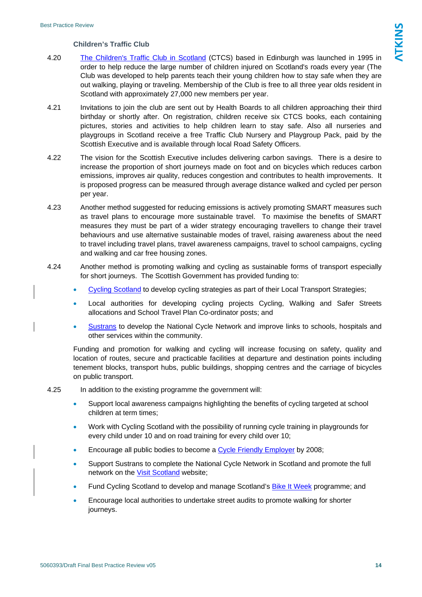#### **Children's Traffic Club**

- 4.20 [The Children's Traffic Club in Scotland](http://www.trafficclub.co.uk/) (CTCS) based in Edinburgh was launched in 1995 in order to help reduce the large number of children injured on Scotland's roads every year (The Club was developed to help parents teach their young children how to stay safe when they are out walking, playing or traveling. Membership of the Club is free to all three year olds resident in Scotland with approximately 27,000 new members per year.
- 4.21 Invitations to join the club are sent out by Health Boards to all children approaching their third birthday or shortly after. On registration, children receive six CTCS books, each containing pictures, stories and activities to help children learn to stay safe. Also all nurseries and playgroups in Scotland receive a free Traffic Club Nursery and Playgroup Pack, paid by the Scottish Executive and is available through local Road Safety Officers.
- 4.22 The vision for the Scottish Executive includes delivering carbon savings. There is a desire to increase the proportion of short journeys made on foot and on bicycles which reduces carbon emissions, improves air quality, reduces congestion and contributes to health improvements. It is proposed progress can be measured through average distance walked and cycled per person per year.
- 4.23 Another method suggested for reducing emissions is actively promoting SMART measures such as travel plans to encourage more sustainable travel. To maximise the benefits of SMART measures they must be part of a wider strategy encouraging travellers to change their travel behaviours and use alternative sustainable modes of travel, raising awareness about the need to travel including travel plans, travel awareness campaigns, travel to school campaigns, cycling and walking and car free housing zones.
- 4.24 Another method is promoting walking and cycling as sustainable forms of transport especially for short journeys. The Scottish Government has provided funding to:
	- [Cycling Scotland](http://www.cyclingscotland.org/) to develop cycling strategies as part of their Local Transport Strategies;
	- Local authorities for developing cycling projects Cycling, Walking and Safer Streets allocations and School Travel Plan Co-ordinator posts; and
	- [Sustrans](http://www.sustrans.org.uk/) to develop the National Cycle Network and improve links to schools, hospitals and other services within the community.

Funding and promotion for walking and cycling will increase focusing on safety, quality and location of routes, secure and practicable facilities at departure and destination points including tenement blocks, transport hubs, public buildings, shopping centres and the carriage of bicycles on public transport.

#### 4.25 In addition to the existing programme the government will:

- Support local awareness campaigns highlighting the benefits of cycling targeted at school children at term times;
- Work with Cycling Scotland with the possibility of running cycle training in playgrounds for every child under 10 and on road training for every child over 10;
- Encourage all public bodies to become a [Cycle Friendly Employer](http://www.cyclefriendlyemployers.org.uk/what_is_a_cfe.php) by 2008;
- Support Sustrans to complete the National Cycle Network in Scotland and promote the full network on the [Visit Scotland](http://www.visitscotland.com/) website;
- Fund Cycling Scotland to develop and manage Scotland's [Bike It Week](http://www.cyclingscotland.org/bikeweek_1.aspx) programme; and
- Encourage local authorities to undertake street audits to promote walking for shorter journeys.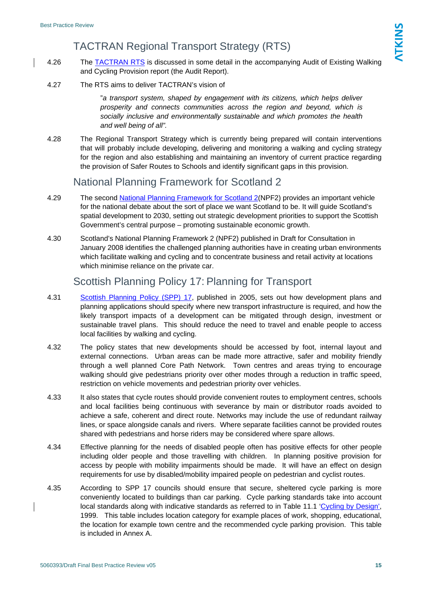## TACTRAN Regional Transport Strategy (RTS)

- 4.26 The **[TACTRAN RTS](http://www.tactran.gov.uk/regional_transport_strategy.html)** is discussed in some detail in the accompanying Audit of Existing Walking and Cycling Provision report (the Audit Report).
- 4.27 The RTS aims to deliver TACTRAN's vision of

"*a transport system, shaped by engagement with its citizens, which helps deliver prosperity and connects communities across the region and beyond, which is socially inclusive and environmentally sustainable and which promotes the health and well being of all".*

4.28 The Regional Transport Strategy which is currently being prepared will contain interventions that will probably include developing, delivering and monitoring a walking and cycling strategy for the region and also establishing and maintaining an inventory of current practice regarding the provision of Safer Routes to Schools and identify significant gaps in this provision.

### National Planning Framework for Scotland 2

- 4.29 The second [National Planning Framework for Scotland 2](http://www.scotland.gov.uk/Publications/2008/01/07093039/11)(NPF2) provides an important vehicle for the national debate about the sort of place we want Scotland to be. It will guide Scotland's spatial development to 2030, setting out strategic development priorities to support the Scottish Government's central purpose – promoting sustainable economic growth.
- 4.30 Scotland's National Planning Framework 2 (NPF2) published in Draft for Consultation in January 2008 identifies the challenged planning authorities have in creating urban environments which facilitate walking and cycling and to concentrate business and retail activity at locations which minimise reliance on the private car.

### Scottish Planning Policy 17: Planning for Transport

- 4.31 [Scottish Planning Policy \(SPP\) 17,](http://www.scottishexecutive.gov.uk/Publications/2005/12/19154917/49175) published in 2005, sets out how development plans and planning applications should specify where new transport infrastructure is required, and how the likely transport impacts of a development can be mitigated through design, investment or sustainable travel plans. This should reduce the need to travel and enable people to access local facilities by walking and cycling.
- 4.32 The policy states that new developments should be accessed by foot, internal layout and external connections. Urban areas can be made more attractive, safer and mobility friendly through a well planned Core Path Network. Town centres and areas trying to encourage walking should give pedestrians priority over other modes through a reduction in traffic speed, restriction on vehicle movements and pedestrian priority over vehicles.
- 4.33 It also states that cycle routes should provide convenient routes to employment centres, schools and local facilities being continuous with severance by main or distributor roads avoided to achieve a safe, coherent and direct route. Networks may include the use of redundant railway lines, or space alongside canals and rivers. Where separate facilities cannot be provided routes shared with pedestrians and horse riders may be considered where spare allows.
- 4.34 Effective planning for the needs of disabled people often has positive effects for other people including older people and those travelling with children. In planning positive provision for access by people with mobility impairments should be made. It will have an effect on design requirements for use by disabled/mobility impaired people on pedestrian and cyclist routes.
- 4.35 According to SPP 17 councils should ensure that secure, sheltered cycle parking is more conveniently located to buildings than car parking. Cycle parking standards take into account local standards along with indicative standards as referred to in Table 11.1 '[Cycling by Design',](http://www.scotland.gov.uk/library2/cbd/cbd-00.asp) 1999. This table includes location category for example places of work, shopping, educational, the location for example town centre and the recommended cycle parking provision. This table is included in Annex A.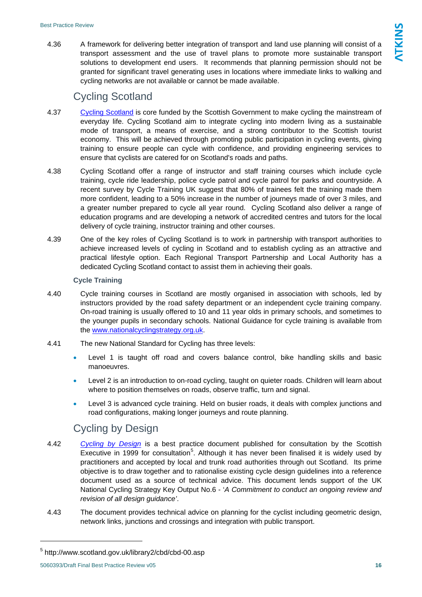4.36 A framework for delivering better integration of transport and land use planning will consist of a transport assessment and the use of travel plans to promote more sustainable transport solutions to development end users. It recommends that planning permission should not be granted for significant travel generating uses in locations where immediate links to walking and cycling networks are not available or cannot be made available.

## Cycling Scotland

- 4.37 [Cycling Scotland](http://www.cyclingscotland.org/) is core funded by the Scottish Government to make cycling the mainstream of everyday life. Cycling Scotland aim to integrate cycling into modern living as a sustainable mode of transport, a means of exercise, and a strong contributor to the Scottish tourist economy. This will be achieved through promoting public participation in cycling events, giving training to ensure people can cycle with confidence, and providing engineering services to ensure that cyclists are catered for on Scotland's roads and paths.
- 4.38 Cycling Scotland offer a range of instructor and staff training courses which include cycle training, cycle ride leadership, police cycle patrol and cycle patrol for parks and countryside. A recent survey by Cycle Training UK suggest that 80% of trainees felt the training made them more confident, leading to a 50% increase in the number of journeys made of over 3 miles, and a greater number prepared to cycle all year round. Cycling Scotland also deliver a range of education programs and are developing a network of accredited centres and tutors for the local delivery of cycle training, instructor training and other courses.
- 4.39 One of the key roles of Cycling Scotland is to work in partnership with transport authorities to achieve increased levels of cycling in Scotland and to establish cycling as an attractive and practical lifestyle option. Each Regional Transport Partnership and Local Authority has a dedicated Cycling Scotland contact to assist them in achieving their goals.

#### **Cycle Training**

- 4.40 Cycle training courses in Scotland are mostly organised in association with schools, led by instructors provided by the road safety department or an independent cycle training company. On-road training is usually offered to 10 and 11 year olds in primary schools, and sometimes to the younger pupils in secondary schools. National Guidance for cycle training is available from the www.nationalcyclingstrategy.org.uk.
- 4.41 The new National Standard for Cycling has three levels:
	- Level 1 is taught off road and covers balance control, bike handling skills and basic manoeuvres.
	- Level 2 is an introduction to on-road cycling, taught on quieter roads. Children will learn about where to position themselves on roads, observe traffic, turn and signal.
	- Level 3 is advanced cycle training. Held on busier roads, it deals with complex junctions and road configurations, making longer journeys and route planning.

## Cycling by Design

- 4.42 *[Cycling by Design](http://www.scotland.gov.uk/library2/cbd/cbd-00.asp)* is a best practice document published for consultation by the Scottish Executive in 1999 for consultation<sup>[5](#page-16-0)</sup>. Although it has never been finalised it is widely used by practitioners and accepted by local and trunk road authorities through out Scotland. Its prime objective is to draw together and to rationalise existing cycle design guidelines into a reference document used as a source of technical advice. This document lends support of the UK National Cycling Strategy Key Output No.6 - '*A Commitment to conduct an ongoing review and revision of all design guidance'*.
- 4.43 The document provides technical advice on planning for the cyclist including geometric design, network links, junctions and crossings and integration with public transport.

<span id="page-16-0"></span><sup>5</sup> http://www.scotland.gov.uk/library2/cbd/cbd-00.asp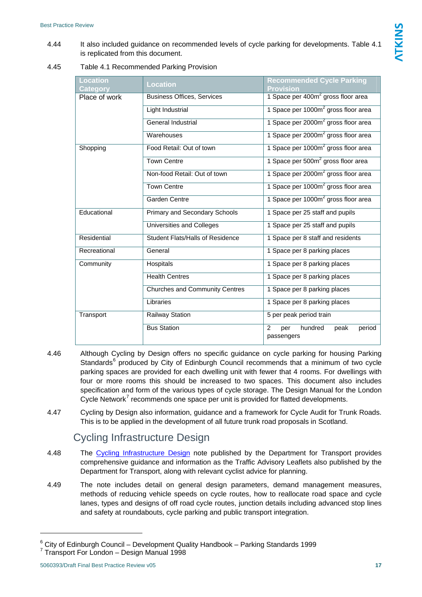4.44 It also included guidance on recommended levels of cycle parking for developments. Table 4.1 is replicated from this document.

<span id="page-17-0"></span>4.45 Table 4.1 Recommended Parking Provision

| Location<br>Category | <b>Location</b>                         | <b>Recommended Cycle Parking</b><br><b>Provision</b> |  |  |  |
|----------------------|-----------------------------------------|------------------------------------------------------|--|--|--|
| Place of work        | <b>Business Offices, Services</b>       | 1 Space per 400m <sup>2</sup> gross floor area       |  |  |  |
|                      | Light Industrial                        | 1 Space per 1000m <sup>2</sup> gross floor area      |  |  |  |
|                      | <b>General Industrial</b>               | 1 Space per 2000m <sup>2</sup> gross floor area      |  |  |  |
|                      | Warehouses                              | 1 Space per 2000m <sup>2</sup> gross floor area      |  |  |  |
| Shopping             | Food Retail: Out of town                | 1 Space per 1000m <sup>2</sup> gross floor area      |  |  |  |
|                      | <b>Town Centre</b>                      | 1 Space per 500m <sup>2</sup> gross floor area       |  |  |  |
|                      | Non-food Retail: Out of town            | 1 Space per 2000m <sup>2</sup> gross floor area      |  |  |  |
|                      | <b>Town Centre</b>                      | 1 Space per 1000m <sup>2</sup> gross floor area      |  |  |  |
|                      | Garden Centre                           | 1 Space per 1000m <sup>2</sup> gross floor area      |  |  |  |
| Educational          | Primary and Secondary Schools           | 1 Space per 25 staff and pupils                      |  |  |  |
|                      | <b>Universities and Colleges</b>        | 1 Space per 25 staff and pupils                      |  |  |  |
| Residential          | <b>Student Flats/Halls of Residence</b> | 1 Space per 8 staff and residents                    |  |  |  |
| Recreational         | General                                 | 1 Space per 8 parking places                         |  |  |  |
| Community            | Hospitals                               | 1 Space per 8 parking places                         |  |  |  |
|                      | <b>Health Centres</b>                   | 1 Space per 8 parking places                         |  |  |  |
|                      | <b>Churches and Community Centres</b>   | 1 Space per 8 parking places                         |  |  |  |
|                      | Libraries                               | 1 Space per 8 parking places                         |  |  |  |
| Transport            | Railway Station                         | 5 per peak period train                              |  |  |  |
|                      | <b>Bus Station</b>                      | 2<br>hundred<br>peak<br>period<br>per<br>passengers  |  |  |  |

- 4.46 Although Cycling by Design offers no specific guidance on cycle parking for housing Parking Standards<sup>[6](#page-17-1)</sup> produced by City of Edinburgh Council recommends that a minimum of two cycle parking spaces are provided for each dwelling unit with fewer that 4 rooms. For dwellings with four or more rooms this should be increased to two spaces. This document also includes specification and form of the various types of cycle storage. The Design Manual for the London Cycle Network<sup>[7](#page-17-2)</sup> recommends one space per unit is provided for flatted developments.
- 4.47 Cycling by Design also information, guidance and a framework for Cycle Audit for Trunk Roads. This is to be applied in the development of all future trunk road proposals in Scotland.

## Cycling Infrastructure Design

- 4.48 The [Cycling Infrastructure Design](http://www.dft.gov.uk/consultations/closed/infrastructuredesign/) note published by the Department for Transport provides comprehensive guidance and information as the Traffic Advisory Leaflets also published by the Department for Transport, along with relevant cyclist advice for planning.
- 4.49 The note includes detail on general design parameters, demand management measures, methods of reducing vehicle speeds on cycle routes, how to reallocate road space and cycle lanes, types and designs of off road cycle routes, junction details including advanced stop lines and safety at roundabouts, cycle parking and public transport integration.

<span id="page-17-1"></span> $6$  City of Edinburgh Council – Development Quality Handbook – Parking Standards 1999

<span id="page-17-2"></span><sup>7</sup> Transport For London – Design Manual 1998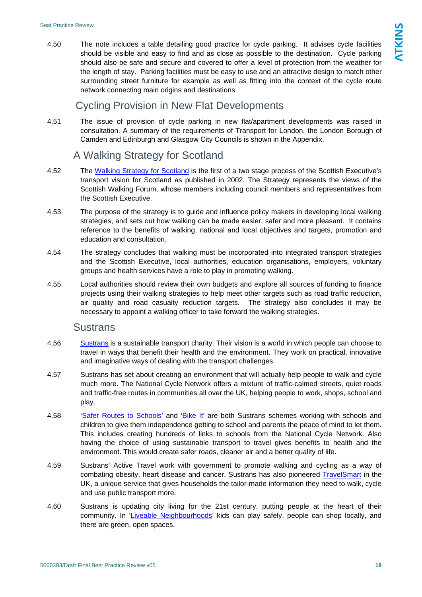4.50 The note includes a table detailing good practice for cycle parking. It advises cycle facilities should be visible and easy to find and as close as possible to the destination. Cycle parking should also be safe and secure and covered to offer a level of protection from the weather for the length of stay. Parking facilities must be easy to use and an attractive design to match other surrounding street furniture for example as well as fitting into the context of the cycle route network connecting main origins and destinations.

## Cycling Provision in New Flat Developments

4.51 The issue of provision of cycle parking in new flat/apartment developments was raised in consultation. A summary of the requirements of Transport for London, the London Borough of Camden and Edinburgh and Glasgow City Councils is shown in the Appendix.

## A Walking Strategy for Scotland

- 4.52 The [Walking Strategy for Scotland](http://www.scotland.gov.uk/consultations/culture/wsfs-00.asp) is the first of a two stage process of the Scottish Executive's transport vision for Scotland as published in 2002. The Strategy represents the views of the Scottish Walking Forum, whose members including council members and representatives from the Scottish Executive.
- 4.53 The purpose of the strategy is to guide and influence policy makers in developing local walking strategies, and sets out how walking can be made easier, safer and more pleasant. It contains reference to the benefits of walking, national and local objectives and targets, promotion and education and consultation.
- 4.54 The strategy concludes that walking must be incorporated into integrated transport strategies and the Scottish Executive, local authorities, education organisations, employers, voluntary groups and health services have a role to play in promoting walking.
- 4.55 Local authorities should review their own budgets and explore all sources of funding to finance projects using their walking strategies to help meet other targets such as road traffic reduction, air quality and road casualty reduction targets. The strategy also concludes it may be necessary to appoint a walking officer to take forward the walking strategies.

### **Sustrans**

- 4.56 [Sustrans](http://www.sustrans.org.uk/) is a sustainable transport charity. Their vision is a world in which people can choose to travel in ways that benefit their health and the environment. They work on practical, innovative and imaginative ways of dealing with the transport challenges.
- 4.57 Sustrans has set about creating an environment that will actually help people to walk and cycle much more. The National Cycle Network offers a mixture of traffic-calmed streets, quiet roads and traffic-free routes in communities all over the UK, helping people to work, shops, school and play.
- 4.58 '[Safer Routes to Schools'](http://www.saferoutestoschools.org.uk/) and ['Bike It'](http://www.sustrans.org.uk/default.asp?sID=1102425335218) are both Sustrans schemes working with schools and children to give them independence getting to school and parents the peace of mind to let them. This includes creating hundreds of links to schools from the National Cycle Network. Also having the choice of using sustainable transport to travel gives benefits to health and the environment. This would create safer roads, cleaner air and a better quality of life.
- 4.59 Sustrans' Active Travel work with government to promote walking and cycling as a way of combating obesity, heart disease and cancer. Sustrans has also pioneered [TravelSmart](http://www.travelsmartuk.com/travel-home/) in the UK, a unique service that gives households the tailor-made information they need to walk, cycle and use public transport more.
- 4.60 Sustrans is updating city living for the 21st century, putting people at the heart of their community. In ['Liveable Neighbourhoods](http://www.sustrans.org.uk/default.asp?sID=1090834683408)' kids can play safely, people can shop locally, and there are green, open spaces.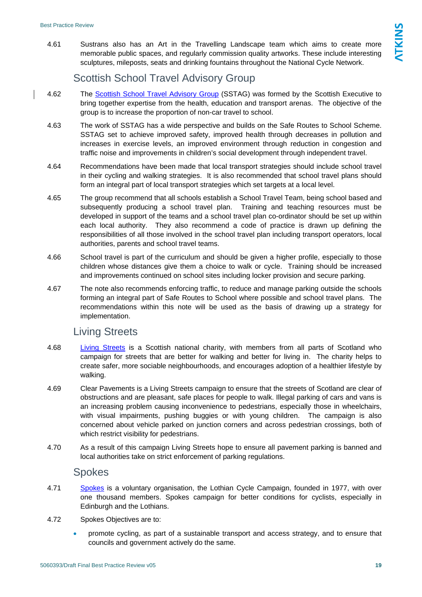4.61 Sustrans also has an Art in the Travelling Landscape team which aims to create more memorable public spaces, and regularly commission quality artworks. These include interesting sculptures, mileposts, seats and drinking fountains throughout the National Cycle Network.

## Scottish School Travel Advisory Group

- 4.62 The [Scottish School Travel Advisory Group](http://www.scotland.gov.uk/Publications/2003/02/16402/18362) (SSTAG) was formed by the Scottish Executive to bring together expertise from the health, education and transport arenas. The objective of the group is to increase the proportion of non-car travel to school.
- 4.63 The work of SSTAG has a wide perspective and builds on the Safe Routes to School Scheme. SSTAG set to achieve improved safety, improved health through decreases in pollution and increases in exercise levels, an improved environment through reduction in congestion and traffic noise and improvements in children's social development through independent travel.
- 4.64 Recommendations have been made that local transport strategies should include school travel in their cycling and walking strategies. It is also recommended that school travel plans should form an integral part of local transport strategies which set targets at a local level.
- 4.65 The group recommend that all schools establish a School Travel Team, being school based and subsequently producing a school travel plan. Training and teaching resources must be developed in support of the teams and a school travel plan co-ordinator should be set up within each local authority. They also recommend a code of practice is drawn up defining the responsibilities of all those involved in the school travel plan including transport operators, local authorities, parents and school travel teams.
- 4.66 School travel is part of the curriculum and should be given a higher profile, especially to those children whose distances give them a choice to walk or cycle. Training should be increased and improvements continued on school sites including locker provision and secure parking.
- 4.67 The note also recommends enforcing traffic, to reduce and manage parking outside the schools forming an integral part of Safe Routes to School where possible and school travel plans. The recommendations within this note will be used as the basis of drawing up a strategy for implementation.

## Living Streets

- 4.68 [Living Streets](http://www.livingstreets.org.uk/) is a Scottish national charity, with members from all parts of Scotland who campaign for streets that are better for walking and better for living in. The charity helps to create safer, more sociable neighbourhoods, and encourages adoption of a healthier lifestyle by walking.
- 4.69 Clear Pavements is a Living Streets campaign to ensure that the streets of Scotland are clear of obstructions and are pleasant, safe places for people to walk. Illegal parking of cars and vans is an increasing problem causing inconvenience to pedestrians, especially those in wheelchairs, with visual impairments, pushing buggies or with young children. The campaign is also concerned about vehicle parked on junction corners and across pedestrian crossings, both of which restrict visibility for pedestrians.
- 4.70 As a result of this campaign Living Streets hope to ensure all pavement parking is banned and local authorities take on strict enforcement of parking regulations.

### Spokes

- 4.71 [Spokes](http://www.spokes.org.uk/) is a voluntary organisation, the Lothian Cycle Campaign, founded in 1977, with over one thousand members. Spokes campaign for better conditions for cyclists, especially in Edinburgh and the Lothians.
- 4.72 Spokes Objectives are to:
	- promote cycling, as part of a sustainable transport and access strategy, and to ensure that councils and government actively do the same.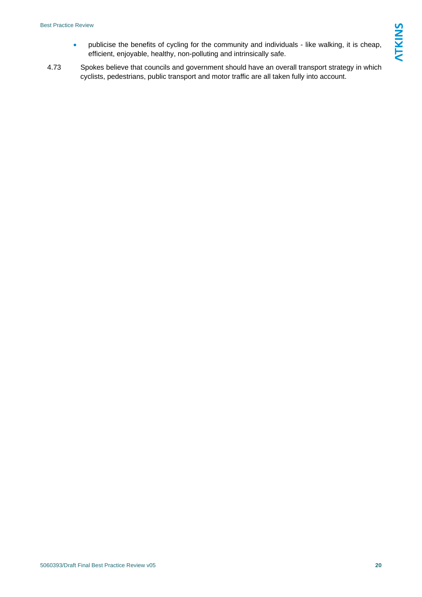- publicise the benefits of cycling for the community and individuals like walking, it is cheap, efficient, enjoyable, healthy, non-polluting and intrinsically safe.
- 4.73 Spokes believe that councils and government should have an overall transport strategy in which cyclists, pedestrians, public transport and motor traffic are all taken fully into account.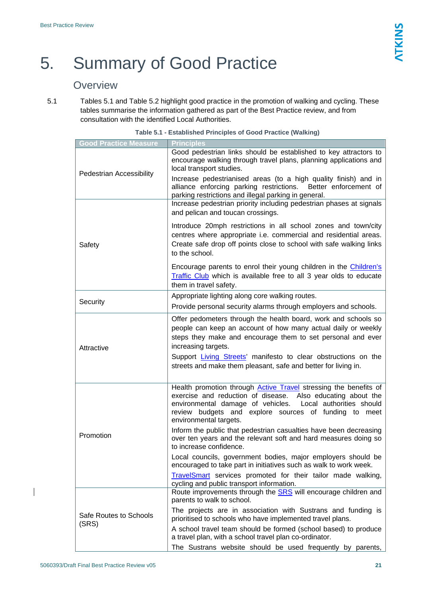## <span id="page-21-0"></span>5. Summary of Good Practice

## **Overview**

<span id="page-21-1"></span>5.1 Tables 5.1 and Table 5.2 highlight good practice in the promotion of walking and cycling. These tables summarise the information gathered as part of the Best Practice review, and from consultation with the identified Local Authorities.

| <b>Good Practice Measure</b>    | <b>Principles</b>                                                                                                                                                                                                                                                                                                                                         |  |  |  |  |
|---------------------------------|-----------------------------------------------------------------------------------------------------------------------------------------------------------------------------------------------------------------------------------------------------------------------------------------------------------------------------------------------------------|--|--|--|--|
| Pedestrian Accessibility        | Good pedestrian links should be established to key attractors to<br>encourage walking through travel plans, planning applications and<br>local transport studies.                                                                                                                                                                                         |  |  |  |  |
|                                 | Increase pedestrianised areas (to a high quality finish) and in<br>alliance enforcing parking restrictions.<br>Better enforcement of<br>parking restrictions and illegal parking in general.                                                                                                                                                              |  |  |  |  |
|                                 | Increase pedestrian priority including pedestrian phases at signals<br>and pelican and toucan crossings.                                                                                                                                                                                                                                                  |  |  |  |  |
| Safety                          | Introduce 20mph restrictions in all school zones and town/city<br>centres where appropriate i.e. commercial and residential areas.<br>Create safe drop off points close to school with safe walking links<br>to the school.                                                                                                                               |  |  |  |  |
|                                 | Encourage parents to enrol their young children in the Children's<br>Traffic Club which is available free to all 3 year olds to educate<br>them in travel safety.                                                                                                                                                                                         |  |  |  |  |
|                                 | Appropriate lighting along core walking routes.                                                                                                                                                                                                                                                                                                           |  |  |  |  |
| Security                        | Provide personal security alarms through employers and schools.                                                                                                                                                                                                                                                                                           |  |  |  |  |
| Attractive                      | Offer pedometers through the health board, work and schools so<br>people can keep an account of how many actual daily or weekly<br>steps they make and encourage them to set personal and ever<br>increasing targets.<br>Support Living Streets' manifesto to clear obstructions on the<br>streets and make them pleasant, safe and better for living in. |  |  |  |  |
|                                 | Health promotion through <b>Active Travel</b> stressing the benefits of<br>exercise and reduction of disease.<br>Also educating about the<br>environmental damage of vehicles. Local authorities should<br>review budgets and explore sources of funding to meet<br>environmental targets.                                                                |  |  |  |  |
| Promotion                       | Inform the public that pedestrian casualties have been decreasing<br>over ten years and the relevant soft and hard measures doing so<br>to increase confidence.                                                                                                                                                                                           |  |  |  |  |
|                                 | Local councils, government bodies, major employers should be<br>encouraged to take part in initiatives such as walk to work week.                                                                                                                                                                                                                         |  |  |  |  |
|                                 | <b>TravelSmart</b> services promoted for their tailor made walking,<br>cycling and public transport information.                                                                                                                                                                                                                                          |  |  |  |  |
|                                 | Route improvements through the SRS will encourage children and<br>parents to walk to school.                                                                                                                                                                                                                                                              |  |  |  |  |
| Safe Routes to Schools<br>(SRS) | The projects are in association with Sustrans and funding is<br>prioritised to schools who have implemented travel plans.                                                                                                                                                                                                                                 |  |  |  |  |
|                                 | A school travel team should be formed (school based) to produce<br>a travel plan, with a school travel plan co-ordinator.                                                                                                                                                                                                                                 |  |  |  |  |
|                                 | The Sustrans website should be used frequently by parents,                                                                                                                                                                                                                                                                                                |  |  |  |  |

| Table 5.1 - Established Principles of Good Practice (Walking) |  |  |
|---------------------------------------------------------------|--|--|
|                                                               |  |  |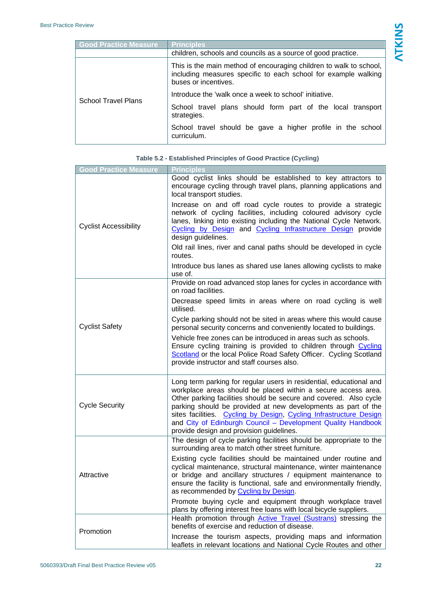| <b>Good Practice Measure</b> | <b>Principles</b>                                                                                                                                            |  |
|------------------------------|--------------------------------------------------------------------------------------------------------------------------------------------------------------|--|
|                              | children, schools and councils as a source of good practice.                                                                                                 |  |
|                              | This is the main method of encouraging children to walk to school,<br>including measures specific to each school for example walking<br>buses or incentives. |  |
|                              | Introduce the 'walk once a week to school' initiative.                                                                                                       |  |
| <b>School Travel Plans</b>   | School travel plans should form part of the local transport<br>strategies.                                                                                   |  |
|                              | School travel should be gave a higher profile in the school<br>curriculum.                                                                                   |  |

<span id="page-22-0"></span>

| <b>Good Practice Measure</b> | <b>Principles</b>                                                                                                                                                                                                                                                                                                                                                                                                                                            |
|------------------------------|--------------------------------------------------------------------------------------------------------------------------------------------------------------------------------------------------------------------------------------------------------------------------------------------------------------------------------------------------------------------------------------------------------------------------------------------------------------|
|                              | Good cyclist links should be established to key attractors to<br>encourage cycling through travel plans, planning applications and<br>local transport studies.                                                                                                                                                                                                                                                                                               |
| <b>Cyclist Accessibility</b> | Increase on and off road cycle routes to provide a strategic<br>network of cycling facilities, including coloured advisory cycle<br>lanes, linking into existing including the National Cycle Network.<br>Cycling by Design and Cycling Infrastructure Design provide<br>design guidelines.                                                                                                                                                                  |
|                              | Old rail lines, river and canal paths should be developed in cycle<br>routes.                                                                                                                                                                                                                                                                                                                                                                                |
|                              | Introduce bus lanes as shared use lanes allowing cyclists to make<br>use of.                                                                                                                                                                                                                                                                                                                                                                                 |
|                              | Provide on road advanced stop lanes for cycles in accordance with<br>on road facilities.                                                                                                                                                                                                                                                                                                                                                                     |
|                              | Decrease speed limits in areas where on road cycling is well<br>utilised.                                                                                                                                                                                                                                                                                                                                                                                    |
| <b>Cyclist Safety</b>        | Cycle parking should not be sited in areas where this would cause<br>personal security concerns and conveniently located to buildings.                                                                                                                                                                                                                                                                                                                       |
|                              | Vehicle free zones can be introduced in areas such as schools.<br>Ensure cycling training is provided to children through Cycling<br>Scotland or the local Police Road Safety Officer. Cycling Scotland<br>provide instructor and staff courses also.                                                                                                                                                                                                        |
| <b>Cycle Security</b>        | Long term parking for regular users in residential, educational and<br>workplace areas should be placed within a secure access area.<br>Other parking facilities should be secure and covered. Also cycle<br>parking should be provided at new developments as part of the<br>sites facilities. Cycling by Design, Cycling Infrastructure Design<br>and City of Edinburgh Council - Development Quality Handbook<br>provide design and provision guidelines. |
|                              | The design of cycle parking facilities should be appropriate to the<br>surrounding area to match other street furniture.                                                                                                                                                                                                                                                                                                                                     |
| Attractive                   | Existing cycle facilities should be maintained under routine and<br>cyclical maintenance, structural maintenance, winter maintenance<br>or bridge and ancillary structures / equipment maintenance to<br>ensure the facility is functional, safe and environmentally friendly,<br>as recommended by Cycling by Design.                                                                                                                                       |
|                              | Promote buying cycle and equipment through workplace travel<br>plans by offering interest free loans with local bicycle suppliers.                                                                                                                                                                                                                                                                                                                           |
| Promotion                    | Health promotion through <b>Active Travel (Sustrans)</b> stressing the<br>benefits of exercise and reduction of disease.                                                                                                                                                                                                                                                                                                                                     |
|                              | Increase the tourism aspects, providing maps and information<br>leaflets in relevant locations and National Cycle Routes and other                                                                                                                                                                                                                                                                                                                           |

#### **Table 5.2 - Established Principles of Good Practice (Cycling)**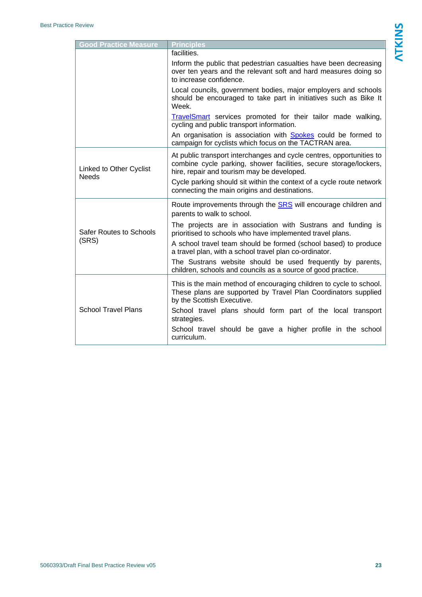| <b>Good Practice Measure</b>            | <b>Principles</b>                                                                                                                                                                                                                                               |
|-----------------------------------------|-----------------------------------------------------------------------------------------------------------------------------------------------------------------------------------------------------------------------------------------------------------------|
|                                         | facilities.                                                                                                                                                                                                                                                     |
|                                         | Inform the public that pedestrian casualties have been decreasing<br>over ten years and the relevant soft and hard measures doing so<br>to increase confidence.                                                                                                 |
|                                         | Local councils, government bodies, major employers and schools<br>should be encouraged to take part in initiatives such as Bike It<br>Week.                                                                                                                     |
|                                         | TravelSmart services promoted for their tailor made walking,<br>cycling and public transport information.                                                                                                                                                       |
|                                         | An organisation is association with <b>Spokes</b> could be formed to<br>campaign for cyclists which focus on the TACTRAN area.                                                                                                                                  |
| Linked to Other Cyclist<br><b>Needs</b> | At public transport interchanges and cycle centres, opportunities to<br>combine cycle parking, shower facilities, secure storage/lockers,<br>hire, repair and tourism may be developed.<br>Cycle parking should sit within the context of a cycle route network |
|                                         | connecting the main origins and destinations.                                                                                                                                                                                                                   |
|                                         | Route improvements through the <b>SRS</b> will encourage children and<br>parents to walk to school.                                                                                                                                                             |
| Safer Routes to Schools                 | The projects are in association with Sustrans and funding is<br>prioritised to schools who have implemented travel plans.                                                                                                                                       |
| (SRS)                                   | A school travel team should be formed (school based) to produce<br>a travel plan, with a school travel plan co-ordinator.                                                                                                                                       |
|                                         | The Sustrans website should be used frequently by parents,<br>children, schools and councils as a source of good practice.                                                                                                                                      |
|                                         | This is the main method of encouraging children to cycle to school.<br>These plans are supported by Travel Plan Coordinators supplied<br>by the Scottish Executive.                                                                                             |
| <b>School Travel Plans</b>              | School travel plans should form part of the local transport<br>strategies.                                                                                                                                                                                      |
|                                         | School travel should be gave a higher profile in the school<br>curriculum.                                                                                                                                                                                      |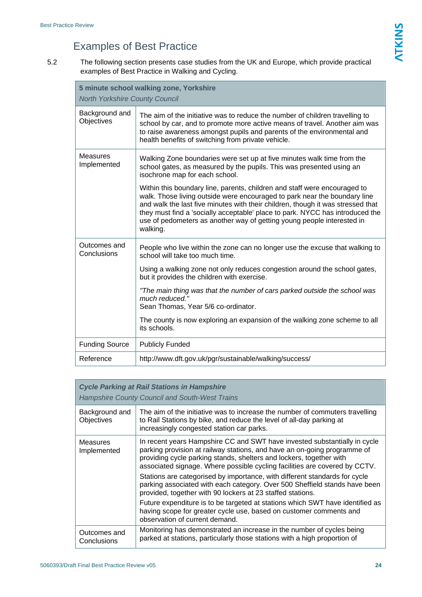## Examples of Best Practice

5.2 The following section presents case studies from the UK and Europe, which provide practical examples of Best Practice in Walking and Cycling.

| 5 minute school walking zone, Yorkshire<br><b>North Yorkshire County Council</b> |                                                                                                                                                                                                                                                                                                                                                                                                                  |
|----------------------------------------------------------------------------------|------------------------------------------------------------------------------------------------------------------------------------------------------------------------------------------------------------------------------------------------------------------------------------------------------------------------------------------------------------------------------------------------------------------|
| Background and<br>Objectives                                                     | The aim of the initiative was to reduce the number of children travelling to<br>school by car, and to promote more active means of travel. Another aim was<br>to raise awareness amongst pupils and parents of the environmental and<br>health benefits of switching from private vehicle.                                                                                                                       |
| <b>Measures</b><br>Implemented                                                   | Walking Zone boundaries were set up at five minutes walk time from the<br>school gates, as measured by the pupils. This was presented using an<br>isochrone map for each school.                                                                                                                                                                                                                                 |
|                                                                                  | Within this boundary line, parents, children and staff were encouraged to<br>walk. Those living outside were encouraged to park near the boundary line<br>and walk the last five minutes with their children, though it was stressed that<br>they must find a 'socially acceptable' place to park. NYCC has introduced the<br>use of pedometers as another way of getting young people interested in<br>walking. |
| Outcomes and<br>Conclusions                                                      | People who live within the zone can no longer use the excuse that walking to<br>school will take too much time.                                                                                                                                                                                                                                                                                                  |
|                                                                                  | Using a walking zone not only reduces congestion around the school gates,<br>but it provides the children with exercise.                                                                                                                                                                                                                                                                                         |
|                                                                                  | "The main thing was that the number of cars parked outside the school was<br>much reduced."<br>Sean Thomas, Year 5/6 co-ordinator.                                                                                                                                                                                                                                                                               |
|                                                                                  | The county is now exploring an expansion of the walking zone scheme to all<br>its schools.                                                                                                                                                                                                                                                                                                                       |
| <b>Funding Source</b>                                                            | <b>Publicly Funded</b>                                                                                                                                                                                                                                                                                                                                                                                           |
| Reference                                                                        | http://www.dft.gov.uk/pgr/sustainable/walking/success/                                                                                                                                                                                                                                                                                                                                                           |

| <b>Cycle Parking at Rail Stations in Hampshire</b> |                                                                                                                                                                                                                                                                                                            |  |
|----------------------------------------------------|------------------------------------------------------------------------------------------------------------------------------------------------------------------------------------------------------------------------------------------------------------------------------------------------------------|--|
|                                                    | <b>Hampshire County Council and South-West Trains</b>                                                                                                                                                                                                                                                      |  |
| Background and<br>Objectives                       | The aim of the initiative was to increase the number of commuters travelling<br>to Rail Stations by bike, and reduce the level of all-day parking at<br>increasingly congested station car parks.                                                                                                          |  |
| Measures<br>Implemented                            | In recent years Hampshire CC and SWT have invested substantially in cycle<br>parking provision at railway stations, and have an on-going programme of<br>providing cycle parking stands, shelters and lockers, together with<br>associated signage. Where possible cycling facilities are covered by CCTV. |  |
|                                                    | Stations are categorised by importance, with different standards for cycle<br>parking associated with each category. Over 500 Sheffield stands have been<br>provided, together with 90 lockers at 23 staffed stations.                                                                                     |  |
|                                                    | Future expenditure is to be targeted at stations which SWT have identified as<br>having scope for greater cycle use, based on customer comments and<br>observation of current demand.                                                                                                                      |  |
| Outcomes and<br>Conclusions                        | Monitoring has demonstrated an increase in the number of cycles being<br>parked at stations, particularly those stations with a high proportion of                                                                                                                                                         |  |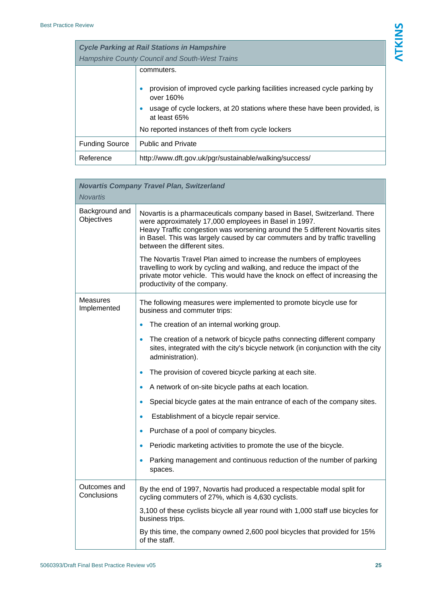| <b>Cycle Parking at Rail Stations in Hampshire</b><br><b>Hampshire County Council and South-West Trains</b> |                                                                                           |
|-------------------------------------------------------------------------------------------------------------|-------------------------------------------------------------------------------------------|
|                                                                                                             | commuters.<br>provision of improved cycle parking facilities increased cycle parking by   |
|                                                                                                             | over 160%                                                                                 |
|                                                                                                             | usage of cycle lockers, at 20 stations where these have been provided, is<br>at least 65% |
|                                                                                                             | No reported instances of theft from cycle lockers                                         |
| <b>Funding Source</b>                                                                                       | <b>Public and Private</b>                                                                 |
| Reference                                                                                                   | http://www.dft.gov.uk/pgr/sustainable/walking/success/                                    |

| <b>Novartis</b>              | <b>Novartis Company Travel Plan, Switzerland</b>                                                                                                                                                                                                                                                                                                                                                                                                                                                                                                                                                    |
|------------------------------|-----------------------------------------------------------------------------------------------------------------------------------------------------------------------------------------------------------------------------------------------------------------------------------------------------------------------------------------------------------------------------------------------------------------------------------------------------------------------------------------------------------------------------------------------------------------------------------------------------|
| Background and<br>Objectives | Novartis is a pharmaceuticals company based in Basel, Switzerland. There<br>were approximately 17,000 employees in Basel in 1997.<br>Heavy Traffic congestion was worsening around the 5 different Novartis sites<br>in Basel. This was largely caused by car commuters and by traffic travelling<br>between the different sites.<br>The Novartis Travel Plan aimed to increase the numbers of employees<br>travelling to work by cycling and walking, and reduce the impact of the<br>private motor vehicle. This would have the knock on effect of increasing the<br>productivity of the company. |
| Measures<br>Implemented      | The following measures were implemented to promote bicycle use for<br>business and commuter trips:                                                                                                                                                                                                                                                                                                                                                                                                                                                                                                  |
|                              | The creation of an internal working group.                                                                                                                                                                                                                                                                                                                                                                                                                                                                                                                                                          |
|                              | The creation of a network of bicycle paths connecting different company<br>$\bullet$<br>sites, integrated with the city's bicycle network (in conjunction with the city<br>administration).                                                                                                                                                                                                                                                                                                                                                                                                         |
|                              | The provision of covered bicycle parking at each site.                                                                                                                                                                                                                                                                                                                                                                                                                                                                                                                                              |
|                              | A network of on-site bicycle paths at each location.                                                                                                                                                                                                                                                                                                                                                                                                                                                                                                                                                |
|                              | Special bicycle gates at the main entrance of each of the company sites.                                                                                                                                                                                                                                                                                                                                                                                                                                                                                                                            |
|                              | Establishment of a bicycle repair service.<br>$\bullet$                                                                                                                                                                                                                                                                                                                                                                                                                                                                                                                                             |
|                              | Purchase of a pool of company bicycles.                                                                                                                                                                                                                                                                                                                                                                                                                                                                                                                                                             |
|                              | Periodic marketing activities to promote the use of the bicycle.                                                                                                                                                                                                                                                                                                                                                                                                                                                                                                                                    |
|                              | Parking management and continuous reduction of the number of parking<br>spaces.                                                                                                                                                                                                                                                                                                                                                                                                                                                                                                                     |
| Outcomes and<br>Conclusions  | By the end of 1997, Novartis had produced a respectable modal split for<br>cycling commuters of 27%, which is 4,630 cyclists.                                                                                                                                                                                                                                                                                                                                                                                                                                                                       |
|                              | 3,100 of these cyclists bicycle all year round with 1,000 staff use bicycles for<br>business trips.                                                                                                                                                                                                                                                                                                                                                                                                                                                                                                 |
|                              | By this time, the company owned 2,600 pool bicycles that provided for 15%<br>of the staff.                                                                                                                                                                                                                                                                                                                                                                                                                                                                                                          |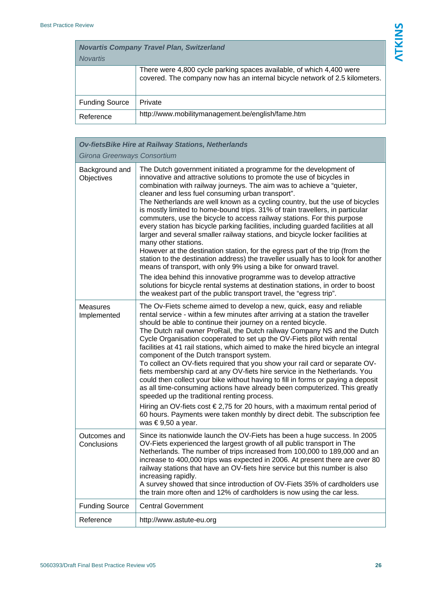| <b>Novartis Company Travel Plan, Switzerland</b><br><b>Novartis</b> |                                                                                                                                                     |
|---------------------------------------------------------------------|-----------------------------------------------------------------------------------------------------------------------------------------------------|
|                                                                     | There were 4,800 cycle parking spaces available, of which 4,400 were<br>covered. The company now has an internal bicycle network of 2.5 kilometers. |
| <b>Funding Source</b>                                               | Private                                                                                                                                             |
| Reference                                                           | http://www.mobilitymanagement.be/english/fame.htm                                                                                                   |

| <b>Ov-fietsBike Hire at Railway Stations, Netherlands</b> |                                                                                                                                                                                                                                                                                                                                                                                                                                                                                                                                                                                                                                                                                                                                                                                                                                                                                                                                                                                                                                                                                                                                                                                               |
|-----------------------------------------------------------|-----------------------------------------------------------------------------------------------------------------------------------------------------------------------------------------------------------------------------------------------------------------------------------------------------------------------------------------------------------------------------------------------------------------------------------------------------------------------------------------------------------------------------------------------------------------------------------------------------------------------------------------------------------------------------------------------------------------------------------------------------------------------------------------------------------------------------------------------------------------------------------------------------------------------------------------------------------------------------------------------------------------------------------------------------------------------------------------------------------------------------------------------------------------------------------------------|
| Girona Greenways Consortium                               |                                                                                                                                                                                                                                                                                                                                                                                                                                                                                                                                                                                                                                                                                                                                                                                                                                                                                                                                                                                                                                                                                                                                                                                               |
| Background and<br>Objectives                              | The Dutch government initiated a programme for the development of<br>innovative and attractive solutions to promote the use of bicycles in<br>combination with railway journeys. The aim was to achieve a "quieter,<br>cleaner and less fuel consuming urban transport".<br>The Netherlands are well known as a cycling country, but the use of bicycles<br>is mostly limited to home-bound trips. 31% of train travellers, in particular<br>commuters, use the bicycle to access railway stations. For this purpose<br>every station has bicycle parking facilities, including guarded facilities at all<br>larger and several smaller railway stations, and bicycle locker facilities at<br>many other stations.<br>However at the destination station, for the egress part of the trip (from the<br>station to the destination address) the traveller usually has to look for another<br>means of transport, with only 9% using a bike for onward travel.<br>The idea behind this innovative programme was to develop attractive<br>solutions for bicycle rental systems at destination stations, in order to boost<br>the weakest part of the public transport travel, the "egress trip". |
| <b>Measures</b><br>Implemented                            | The Ov-Fiets scheme aimed to develop a new, quick, easy and reliable<br>rental service - within a few minutes after arriving at a station the traveller<br>should be able to continue their journey on a rented bicycle.<br>The Dutch rail owner ProRail, the Dutch railway Company NS and the Dutch<br>Cycle Organisation cooperated to set up the OV-Fiets pilot with rental<br>facilities at 41 rail stations, which aimed to make the hired bicycle an integral<br>component of the Dutch transport system.<br>To collect an OV-fiets required that you show your rail card or separate OV-<br>fiets membership card at any OV-fiets hire service in the Netherlands. You<br>could then collect your bike without having to fill in forms or paying a deposit<br>as all time-consuming actions have already been computerized. This greatly<br>speeded up the traditional renting process.<br>Hiring an OV-fiets cost $\epsilon$ 2,75 for 20 hours, with a maximum rental period of<br>60 hours. Payments were taken monthly by direct debit. The subscription fee<br>was $\epsilon$ 9,50 a year.                                                                                         |
| Outcomes and<br>Conclusions                               | Since its nationwide launch the OV-Fiets has been a huge success. In 2005<br>OV-Fiets experienced the largest growth of all public transport in The<br>Netherlands. The number of trips increased from 100,000 to 189,000 and an<br>increase to 400,000 trips was expected in 2006. At present there are over 80<br>railway stations that have an OV-fiets hire service but this number is also<br>increasing rapidly.<br>A survey showed that since introduction of OV-Fiets 35% of cardholders use<br>the train more often and 12% of cardholders is now using the car less.                                                                                                                                                                                                                                                                                                                                                                                                                                                                                                                                                                                                                |
| <b>Funding Source</b>                                     | <b>Central Government</b>                                                                                                                                                                                                                                                                                                                                                                                                                                                                                                                                                                                                                                                                                                                                                                                                                                                                                                                                                                                                                                                                                                                                                                     |
| Reference                                                 | http://www.astute-eu.org                                                                                                                                                                                                                                                                                                                                                                                                                                                                                                                                                                                                                                                                                                                                                                                                                                                                                                                                                                                                                                                                                                                                                                      |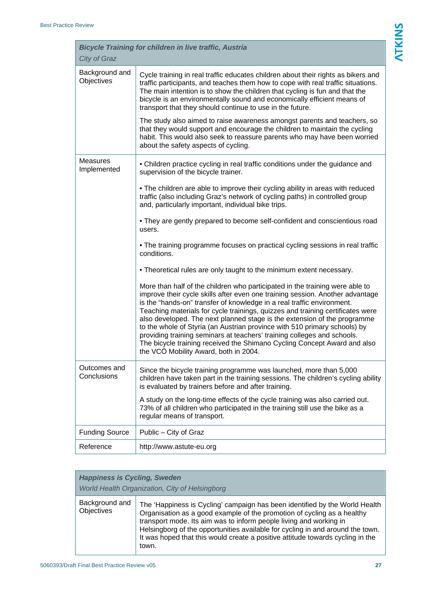| <b>Bicycle Training for children in live traffic, Austria</b><br>City of Graz |                                                                                                                                                                                                                                                                                                                                                                                                                                                                                                                                                                                                                                                                                    |
|-------------------------------------------------------------------------------|------------------------------------------------------------------------------------------------------------------------------------------------------------------------------------------------------------------------------------------------------------------------------------------------------------------------------------------------------------------------------------------------------------------------------------------------------------------------------------------------------------------------------------------------------------------------------------------------------------------------------------------------------------------------------------|
| Background and<br>Objectives                                                  | Cycle training in real traffic educates children about their rights as bikers and<br>traffic participants, and teaches them how to cope with real traffic situations.<br>The main intention is to show the children that cycling is fun and that the<br>bicycle is an environmentally sound and economically efficient means of<br>transport that they should continue to use in the future.                                                                                                                                                                                                                                                                                       |
|                                                                               | The study also aimed to raise awareness amongst parents and teachers, so<br>that they would support and encourage the children to maintain the cycling<br>habit. This would also seek to reassure parents who may have been worried<br>about the safety aspects of cycling.                                                                                                                                                                                                                                                                                                                                                                                                        |
| <b>Measures</b><br>Implemented                                                | • Children practice cycling in real traffic conditions under the guidance and<br>supervision of the bicycle trainer.                                                                                                                                                                                                                                                                                                                                                                                                                                                                                                                                                               |
|                                                                               | • The children are able to improve their cycling ability in areas with reduced<br>traffic (also including Graz's network of cycling paths) in controlled group<br>and, particularly important, individual bike trips.                                                                                                                                                                                                                                                                                                                                                                                                                                                              |
|                                                                               | • They are gently prepared to become self-confident and conscientious road<br>users.                                                                                                                                                                                                                                                                                                                                                                                                                                                                                                                                                                                               |
|                                                                               | • The training programme focuses on practical cycling sessions in real traffic<br>conditions.                                                                                                                                                                                                                                                                                                                                                                                                                                                                                                                                                                                      |
|                                                                               | • Theoretical rules are only taught to the minimum extent necessary.                                                                                                                                                                                                                                                                                                                                                                                                                                                                                                                                                                                                               |
|                                                                               | More than half of the children who participated in the training were able to<br>improve their cycle skills after even one training session. Another advantage<br>is the "hands-on" transfer of knowledge in a real traffic environment.<br>Teaching materials for cycle trainings, quizzes and training certificates were<br>also developed. The next planned stage is the extension of the programme<br>to the whole of Styria (an Austrian province with 510 primary schools) by<br>providing training seminars at teachers' training colleges and schools.<br>The bicycle training received the Shimano Cycling Concept Award and also<br>the VCÖ Mobility Award, both in 2004. |
| Outcomes and<br>Conclusions                                                   | Since the bicycle training programme was launched, more than 5,000<br>children have taken part in the training sessions. The children's cycling ability<br>is evaluated by trainers before and after training.                                                                                                                                                                                                                                                                                                                                                                                                                                                                     |
|                                                                               | A study on the long-time effects of the cycle training was also carried out.<br>73% of all children who participated in the training still use the bike as a<br>regular means of transport.                                                                                                                                                                                                                                                                                                                                                                                                                                                                                        |
| <b>Funding Source</b>                                                         | Public - City of Graz                                                                                                                                                                                                                                                                                                                                                                                                                                                                                                                                                                                                                                                              |
| Reference                                                                     | http://www.astute-eu.org                                                                                                                                                                                                                                                                                                                                                                                                                                                                                                                                                                                                                                                           |

| <b>Happiness is Cycling, Sweden</b><br>World Health Organization, City of Helsingborg |                                                                                                                                                                                                                                                                                                                                                                                                           |  |
|---------------------------------------------------------------------------------------|-----------------------------------------------------------------------------------------------------------------------------------------------------------------------------------------------------------------------------------------------------------------------------------------------------------------------------------------------------------------------------------------------------------|--|
| Background and<br>Objectives                                                          | The 'Happiness is Cycling' campaign has been identified by the World Health<br>Organisation as a good example of the promotion of cycling as a healthy<br>transport mode. Its aim was to inform people living and working in<br>Helsingborg of the opportunities available for cycling in and around the town.<br>It was hoped that this would create a positive attitude towards cycling in the<br>town. |  |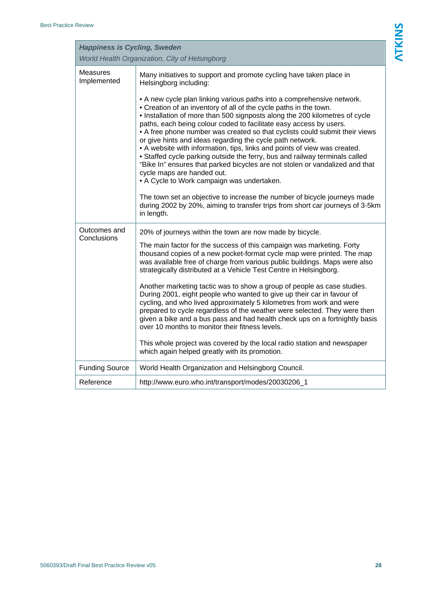| <b>Happiness is Cycling, Sweden</b><br>World Health Organization, City of Helsingborg |                                                                                                                                                                                                                                                                                                                                                                                                                                                                                                                                                                                                                                                                                                                                                                                                                                                                                                                                    |
|---------------------------------------------------------------------------------------|------------------------------------------------------------------------------------------------------------------------------------------------------------------------------------------------------------------------------------------------------------------------------------------------------------------------------------------------------------------------------------------------------------------------------------------------------------------------------------------------------------------------------------------------------------------------------------------------------------------------------------------------------------------------------------------------------------------------------------------------------------------------------------------------------------------------------------------------------------------------------------------------------------------------------------|
| <b>Measures</b><br>Implemented                                                        | Many initiatives to support and promote cycling have taken place in<br>Helsingborg including:                                                                                                                                                                                                                                                                                                                                                                                                                                                                                                                                                                                                                                                                                                                                                                                                                                      |
|                                                                                       | • A new cycle plan linking various paths into a comprehensive network.<br>• Creation of an inventory of all of the cycle paths in the town.<br>. Installation of more than 500 signposts along the 200 kilometres of cycle<br>paths, each being colour coded to facilitate easy access by users.<br>• A free phone number was created so that cyclists could submit their views<br>or give hints and ideas regarding the cycle path network.<br>• A website with information, tips, links and points of view was created.<br>• Staffed cycle parking outside the ferry, bus and railway terminals called<br>"Bike In" ensures that parked bicycles are not stolen or vandalized and that<br>cycle maps are handed out.<br>• A Cycle to Work campaign was undertaken.<br>The town set an objective to increase the number of bicycle journeys made<br>during 2002 by 20%, aiming to transfer trips from short car journeys of 3-5km |
|                                                                                       | in length.                                                                                                                                                                                                                                                                                                                                                                                                                                                                                                                                                                                                                                                                                                                                                                                                                                                                                                                         |
| Outcomes and<br>Conclusions                                                           | 20% of journeys within the town are now made by bicycle.                                                                                                                                                                                                                                                                                                                                                                                                                                                                                                                                                                                                                                                                                                                                                                                                                                                                           |
|                                                                                       | The main factor for the success of this campaign was marketing. Forty<br>thousand copies of a new pocket-format cycle map were printed. The map<br>was available free of charge from various public buildings. Maps were also<br>strategically distributed at a Vehicle Test Centre in Helsingborg.                                                                                                                                                                                                                                                                                                                                                                                                                                                                                                                                                                                                                                |
|                                                                                       | Another marketing tactic was to show a group of people as case studies.<br>During 2001, eight people who wanted to give up their car in favour of<br>cycling, and who lived approximately 5 kilometres from work and were<br>prepared to cycle regardless of the weather were selected. They were then<br>given a bike and a bus pass and had health check ups on a fortnightly basis<br>over 10 months to monitor their fitness levels.                                                                                                                                                                                                                                                                                                                                                                                                                                                                                           |
|                                                                                       | This whole project was covered by the local radio station and newspaper<br>which again helped greatly with its promotion.                                                                                                                                                                                                                                                                                                                                                                                                                                                                                                                                                                                                                                                                                                                                                                                                          |
| <b>Funding Source</b>                                                                 | World Health Organization and Helsingborg Council.                                                                                                                                                                                                                                                                                                                                                                                                                                                                                                                                                                                                                                                                                                                                                                                                                                                                                 |
| Reference                                                                             | http://www.euro.who.int/transport/modes/20030206_1                                                                                                                                                                                                                                                                                                                                                                                                                                                                                                                                                                                                                                                                                                                                                                                                                                                                                 |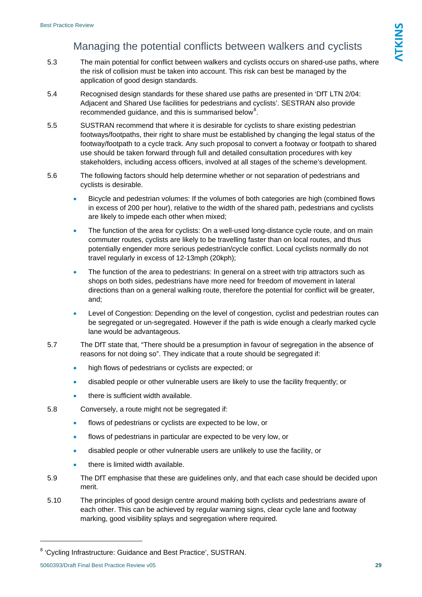## Managing the potential conflicts between walkers and cyclists

- 5.3 The main potential for conflict between walkers and cyclists occurs on shared-use paths, where the risk of collision must be taken into account. This risk can best be managed by the application of good design standards.
- 5.4 Recognised design standards for these shared use paths are presented in 'DfT LTN 2/04: Adjacent and Shared Use facilities for pedestrians and cyclists'. SESTRAN also provide recommended guidance, and this is summarised below<sup>[8](#page-29-0)</sup>.
- 5.5 SUSTRAN recommend that where it is desirable for cyclists to share existing pedestrian footways/footpaths, their right to share must be established by changing the legal status of the footway/footpath to a cycle track. Any such proposal to convert a footway or footpath to shared use should be taken forward through full and detailed consultation procedures with key stakeholders, including access officers, involved at all stages of the scheme's development.
- 5.6 The following factors should help determine whether or not separation of pedestrians and cyclists is desirable.
	- Bicycle and pedestrian volumes: If the volumes of both categories are high (combined flows in excess of 200 per hour), relative to the width of the shared path, pedestrians and cyclists are likely to impede each other when mixed;
	- The function of the area for cyclists: On a well-used long-distance cycle route, and on main commuter routes, cyclists are likely to be travelling faster than on local routes, and thus potentially engender more serious pedestrian/cycle conflict. Local cyclists normally do not travel regularly in excess of 12-13mph (20kph);
	- The function of the area to pedestrians: In general on a street with trip attractors such as shops on both sides, pedestrians have more need for freedom of movement in lateral directions than on a general walking route, therefore the potential for conflict will be greater, and;
	- Level of Congestion: Depending on the level of congestion, cyclist and pedestrian routes can be segregated or un-segregated. However if the path is wide enough a clearly marked cycle lane would be advantageous.
- 5.7 The DfT state that, "There should be a presumption in favour of segregation in the absence of reasons for not doing so". They indicate that a route should be segregated if:
	- high flows of pedestrians or cyclists are expected; or
	- disabled people or other vulnerable users are likely to use the facility frequently; or
	- there is sufficient width available.
- 5.8 Conversely, a route might not be segregated if:
	- flows of pedestrians or cyclists are expected to be low, or
	- flows of pedestrians in particular are expected to be very low, or
	- disabled people or other vulnerable users are unlikely to use the facility, or
	- there is limited width available.
- 5.9 The DfT emphasise that these are guidelines only, and that each case should be decided upon merit.
- 5.10 The principles of good design centre around making both cyclists and pedestrians aware of each other. This can be achieved by regular warning signs, clear cycle lane and footway marking, good visibility splays and segregation where required.

<span id="page-29-0"></span><sup>&</sup>lt;sup>8</sup> 'Cycling Infrastructure: Guidance and Best Practice', SUSTRAN.

<sup>5060393/</sup>Draft Final Best Practice Review v05 **29**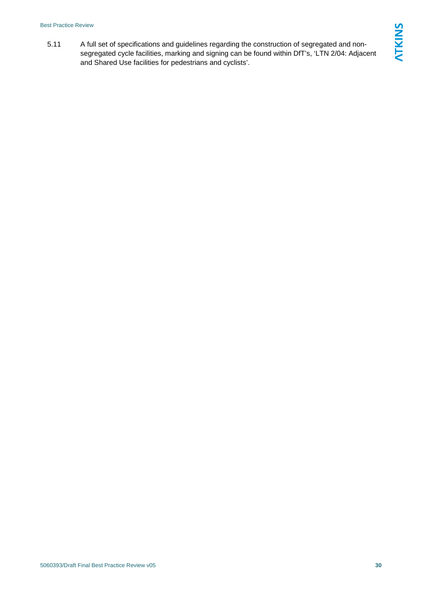#### Best Practice Review

5.11 A full set of specifications and guidelines regarding the construction of segregated and nonsegregated cycle facilities, marking and signing can be found within DfT's, 'LTN 2/04: Adjacent and Shared Use facilities for pedestrians and cyclists'.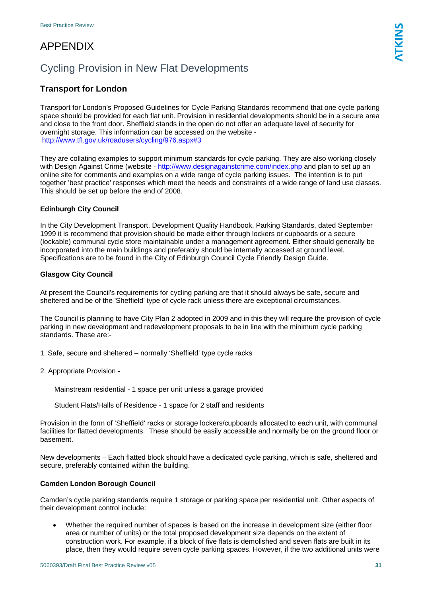## APPENDIX

## Cycling Provision in New Flat Developments

#### **Transport for London**

Transport for London's Proposed Guidelines for Cycle Parking Standards recommend that one cycle parking space should be provided for each flat unit. Provision in residential developments should be in a secure area and close to the front door. Sheffield stands in the open do not offer an adequate level of security for overnight storage. This information can be accessed on the website <http://www.tfl.gov.uk/roadusers/cycling/976.aspx#3>

They are collating examples to support minimum standards for cycle parking. They are also working closely with Design Against Crime (website - <http://www.designagainstcrime.com/index.php> and plan to set up an online site for comments and examples on a wide range of cycle parking issues. The intention is to put together 'best practice' responses which meet the needs and constraints of a wide range of land use classes. This should be set up before the end of 2008.

#### **Edinburgh City Council**

In the City Development Transport, Development Quality Handbook, Parking Standards, dated September 1999 it is recommend that provision should be made either through lockers or cupboards or a secure (lockable) communal cycle store maintainable under a management agreement. Either should generally be incorporated into the main buildings and preferably should be internally accessed at ground level. Specifications are to be found in the City of Edinburgh Council Cycle Friendly Design Guide.

#### **Glasgow City Council**

At present the Council's requirements for cycling parking are that it should always be safe, secure and sheltered and be of the 'Sheffield' type of cycle rack unless there are exceptional circumstances.

The Council is planning to have City Plan 2 adopted in 2009 and in this they will require the provision of cycle parking in new development and redevelopment proposals to be in line with the minimum cycle parking standards. These are:-

- 1. Safe, secure and sheltered normally 'Sheffield' type cycle racks
- 2. Appropriate Provision -

Mainstream residential - 1 space per unit unless a garage provided

Student Flats/Halls of Residence - 1 space for 2 staff and residents

Provision in the form of 'Sheffield' racks or storage lockers/cupboards allocated to each unit, with communal facilities for flatted developments. These should be easily accessible and normally be on the ground floor or basement.

New developments – Each flatted block should have a dedicated cycle parking, which is safe, sheltered and secure, preferably contained within the building.

#### **Camden London Borough Council**

Camden's cycle parking standards require 1 storage or parking space per residential unit. Other aspects of their development control include:

• Whether the required number of spaces is based on the increase in development size (either floor area or number of units) or the total proposed development size depends on the extent of construction work. For example, if a block of five flats is demolished and seven flats are built in its place, then they would require seven cycle parking spaces. However, if the two additional units were